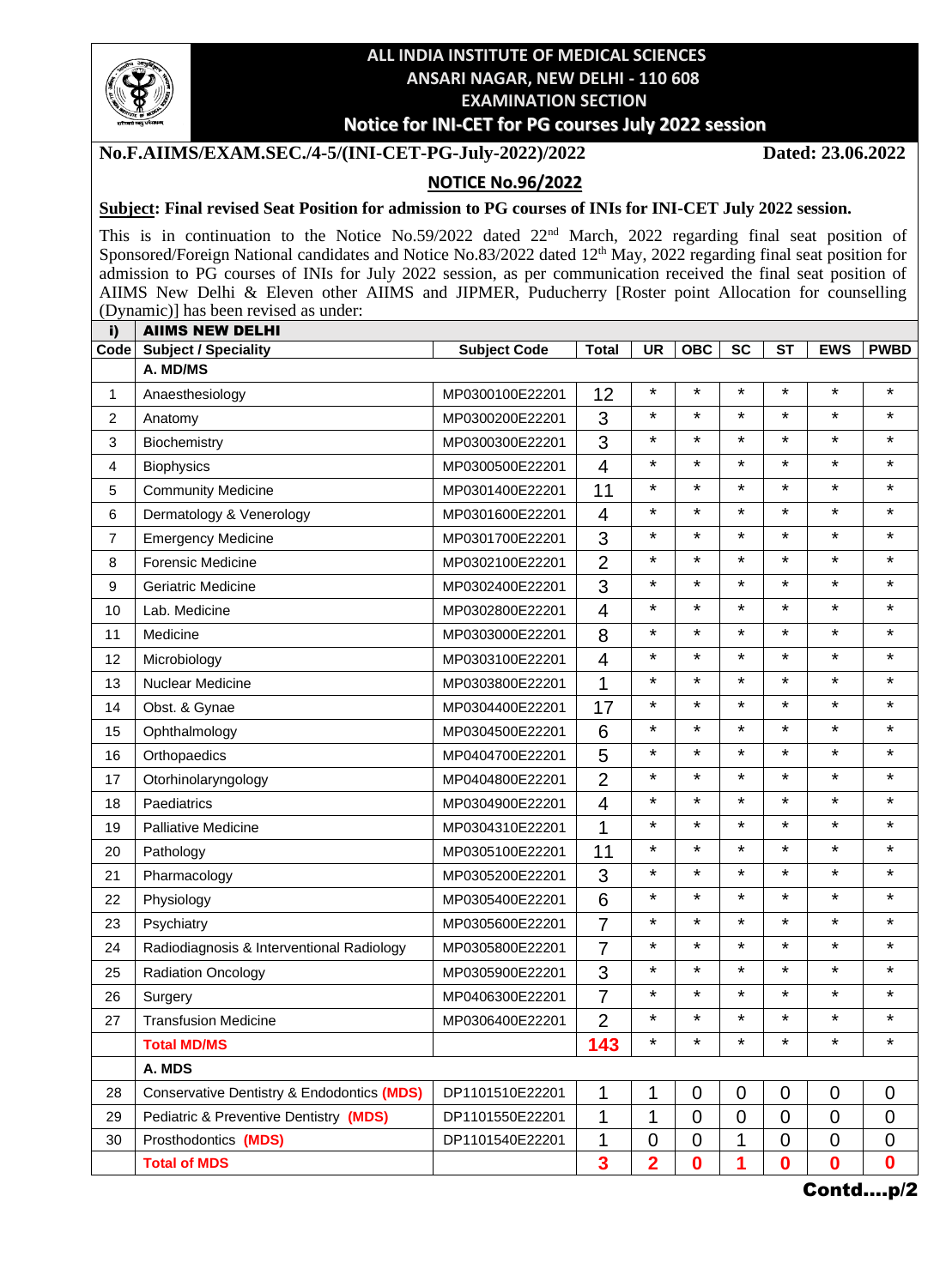

# **ALL INDIA INSTITUTE OF MEDICAL SCIENCES ANSARI NAGAR, NEW DELHI - 110 608 EXAMINATION SECTION**

### **Notice for INI-CET for PG courses July 2022 session**

#### **No.F.AIIMS/EXAM.SEC./4-5/(INI-CET-PG-July-2022)/2022 Dated: 23.06.2022**

## **NOTICE No.96/2022**

#### **Subject: Final revised Seat Position for admission to PG courses of INIs for INI-CET July 2022 session.**

This is in continuation to the Notice No.59/2022 dated 22<sup>nd</sup> March, 2022 regarding final seat position of Sponsored/Foreign National candidates and Notice No.83/2022 dated 12<sup>th</sup> May, 2022 regarding final seat position for admission to PG courses of INIs for July 2022 session, as per communication received the final seat position of AIIMS New Delhi & Eleven other AIIMS and JIPMER, Puducherry [Roster point Allocation for counselling (Dynamic)] has been revised as under: i) AIIMS NEW DELHI

| IJ,            | AIIWƏ NEW UELNI                                       |                     |                           |                |             |                |             |                  |                  |
|----------------|-------------------------------------------------------|---------------------|---------------------------|----------------|-------------|----------------|-------------|------------------|------------------|
| Code           | <b>Subject / Speciality</b><br>A. MD/MS               | <b>Subject Code</b> | <b>Total</b>              | <b>UR</b>      | <b>OBC</b>  | <b>SC</b>      | <b>ST</b>   | <b>EWS</b>       | <b>PWBD</b>      |
| 1              | Anaesthesiology                                       | MP0300100E22201     | 12                        | $\star$        | $\star$     | $\star$        | $\star$     | $\star$          | $\star$          |
| $\overline{c}$ | Anatomy                                               | MP0300200E22201     | 3                         | $\star$        | $\star$     | $\star$        | $\star$     | $\star$          | $\star$          |
| 3              | Biochemistry                                          | MP0300300E22201     | 3                         | $\star$        | $\star$     | $\star$        | $\star$     | ¥                | $\star$          |
| 4              | Biophysics                                            | MP0300500E22201     | $\overline{4}$            | $\star$        | $^\star$    | $\star$        | $\star$     | $\star$          | $\star$          |
| 5              | <b>Community Medicine</b>                             | MP0301400E22201     | 11                        | $\star$        | $\star$     | $\star$        | $\star$     | $\star$          | $\star$          |
| 6              | Dermatology & Venerology                              | MP0301600E22201     | $\overline{4}$            | $\star$        | $\star$     | $\star$        | $\star$     | $\star$          | $\star$          |
| 7              | <b>Emergency Medicine</b>                             | MP0301700E22201     | $\ensuremath{\mathsf{3}}$ | $\star$        | $\star$     | ¥              | $\star$     | $\star$          | $\star$          |
| 8              | <b>Forensic Medicine</b>                              | MP0302100E22201     | $\overline{2}$            | $\star$        | $\star$     | $\star$        | $\star$     | $\star$          | $\star$          |
| 9              | <b>Geriatric Medicine</b>                             | MP0302400E22201     | 3                         | $\star$        | $\star$     | $\star$        | $\star$     | $\star$          | $\star$          |
| 10             | Lab. Medicine                                         | MP0302800E22201     | 4                         | $\star$        | $\star$     | ¥              | $\star$     | ¥                | $\star$          |
| 11             | Medicine                                              | MP0303000E22201     | 8                         | $\star$        | $\star$     | $\star$        | $\star$     | $\star$          | $\star$          |
| 12             | Microbiology                                          | MP0303100E22201     | $\overline{4}$            | $\star$        | $\star$     | $\star$        | $\star$     | $\star$          | $\star$          |
| 13             | Nuclear Medicine                                      | MP0303800E22201     | 1                         | $\star$        | $\star$     | $\star$        | $\star$     | $\star$          | $\star$          |
| 14             | Obst. & Gynae                                         | MP0304400E22201     | 17                        | $\star$        | $\star$     | $\star$        | $\star$     | $\star$          | $\star$          |
| 15             | Ophthalmology                                         | MP0304500E22201     | 6                         | $\star$        | $\star$     | $\star$        | $\star$     | ¥                | $\star$          |
| 16             | Orthopaedics                                          | MP0404700E22201     | 5                         | $\star$        | $\star$     | $\star$        | $\star$     | $\star$          | $\star$          |
| 17             | Otorhinolaryngology                                   | MP0404800E22201     | $\overline{2}$            | $\star$        | $\star$     | $\star$        | $\star$     | $\star$          | $\star$          |
| 18             | Paediatrics                                           | MP0304900E22201     | 4                         | $\star$        | $\star$     | $\star$        | $\star$     | $\star$          | $\star$          |
| 19             | <b>Palliative Medicine</b>                            | MP0304310E22201     | 1                         | $\star$        | $\star$     | $\star$        | $\star$     | $\star$          | $\star$          |
| 20             | Pathology                                             | MP0305100E22201     | 11                        | $\star$        | $\star$     | $\star$        | $\star$     | $\star$          | $\star$          |
| 21             | Pharmacology                                          | MP0305200E22201     | 3                         | $\star$        | $\star$     | $\star$        | $\star$     | $\star$          | $\star$          |
| 22             | Physiology                                            | MP0305400E22201     | 6                         | $\star$        | $\star$     | ¥              | $\star$     | $\star$          | $\star$          |
| 23             | Psychiatry                                            | MP0305600E22201     | $\overline{7}$            | $\star$        | $\star$     | $\star$        | $\star$     | $\star$          | $\star$          |
| 24             | Radiodiagnosis & Interventional Radiology             | MP0305800E22201     | $\overline{7}$            | $\star$        | $\star$     | $\star$        | $\star$     | $\star$          | $\star$          |
| 25             | <b>Radiation Oncology</b>                             | MP0305900E22201     | 3                         | $\star$        | $\star$     | $\star$        | $\star$     | $\star$          | $\star$          |
| 26             | Surgery                                               | MP0406300E22201     | 7                         | $\star$        | $\star$     | $\star$        | $\star$     | $\star$          | $\star$          |
| 27             | <b>Transfusion Medicine</b>                           | MP0306400E22201     | $\overline{2}$            | $\star$        | $\star$     | $\star$        | $\star$     | $\star$          | $\star$          |
|                | <b>Total MD/MS</b>                                    |                     | 143                       | $^\star$       | $\star$     | *              | $^\star$    | $\star$          | $\star$          |
|                | A. MDS                                                |                     |                           |                |             |                |             |                  |                  |
| 28             | <b>Conservative Dentistry &amp; Endodontics (MDS)</b> | DP1101510E22201     | 1                         | 1              | $\mathbf 0$ | $\mathbf 0$    | $\mathbf 0$ | $\overline{0}$   | $\mathbf 0$      |
| 29             | Pediatric & Preventive Dentistry (MDS)                | DP1101550E22201     | 1                         | 1              | $\mathbf 0$ | $\overline{0}$ | $\mathbf 0$ | $\mathbf 0$      | 0                |
| 30             | Prosthodontics (MDS)                                  | DP1101540E22201     | 1                         | $\overline{0}$ | $\mathbf 0$ | 1              | $\mathbf 0$ | $\overline{0}$   | $\mathbf 0$      |
|                | <b>Total of MDS</b>                                   |                     | 3                         | $\overline{2}$ | 0           | 1              | $\bf{0}$    | $\boldsymbol{0}$ | $\boldsymbol{0}$ |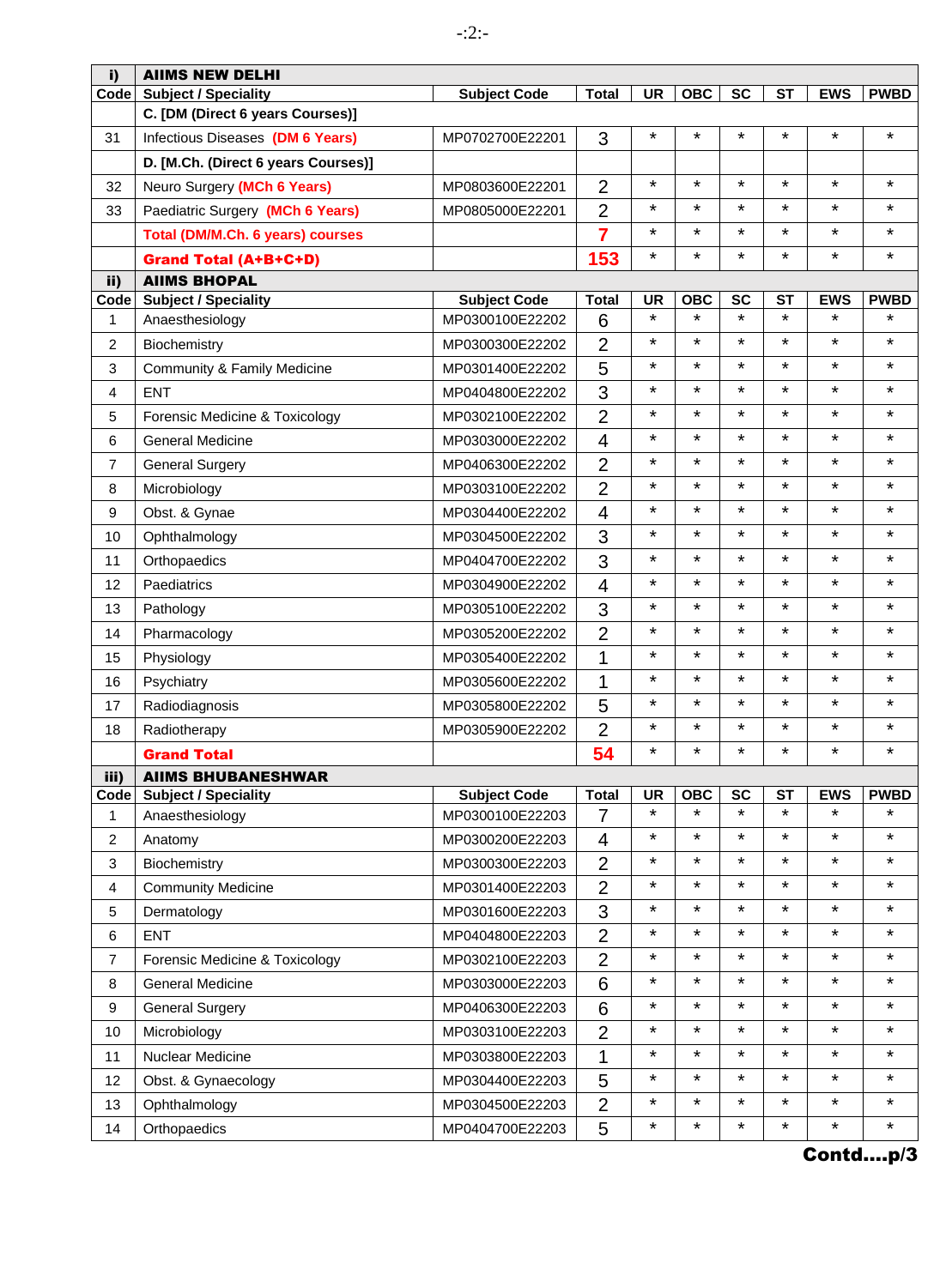| i)             | <b>AIIMS NEW DELHI</b>              |                     |                |           |            |                          |           |                       |             |
|----------------|-------------------------------------|---------------------|----------------|-----------|------------|--------------------------|-----------|-----------------------|-------------|
| Code           | <b>Subject / Speciality</b>         | <b>Subject Code</b> | <b>Total</b>   | <b>UR</b> | <b>OBC</b> | <b>SC</b>                | <b>ST</b> | <b>EWS</b>            | <b>PWBD</b> |
|                | C. [DM (Direct 6 years Courses)]    |                     |                |           |            |                          |           |                       |             |
| 31             | Infectious Diseases (DM 6 Years)    | MP0702700E22201     | 3              | $\star$   | $\star$    | $\star$                  | $\star$   | $\star$               | $\star$     |
|                | D. [M.Ch. (Direct 6 years Courses)] |                     |                |           |            |                          |           |                       |             |
| 32             | Neuro Surgery (MCh 6 Years)         | MP0803600E22201     | $\overline{2}$ | $\star$   | $\star$    | $\star$                  | $\star$   | $\star$               | $\star$     |
| 33             | Paediatric Surgery (MCh 6 Years)    | MP0805000E22201     | $\overline{2}$ | $\star$   | $\star$    | $\star$                  | $\star$   | $\star$               | *           |
|                | Total (DM/M.Ch. 6 years) courses    |                     | $\overline{7}$ | $\star$   | $\star$    | $\star$                  | $\star$   | $\star$               | *           |
|                | <b>Grand Total (A+B+C+D)</b>        |                     | 153            | $\star$   | $\star$    | $\star$                  | $\star$   | $\star$               | $\star$     |
| ii)            | <b>AIIMS BHOPAL</b>                 |                     |                |           |            |                          |           |                       |             |
| Code           | <b>Subject / Speciality</b>         | <b>Subject Code</b> | <b>Total</b>   | <b>UR</b> | <b>OBC</b> | <b>SC</b><br>$\star$     | <b>ST</b> | <b>EWS</b><br>$\star$ | <b>PWBD</b> |
| 1              | Anaesthesiology                     | MP0300100E22202     | 6              | $\star$   | $\star$    |                          | $\star$   |                       | $\star$     |
| 2              | Biochemistry                        | MP0300300E22202     | $\overline{2}$ | $\star$   | $^\star$   | $\star$                  | $\star$   | $\star$               | ¥           |
| 3              | Community & Family Medicine         | MP0301400E22202     | 5              | $\star$   | $^\star$   | $\star$                  | $\star$   | $\star$               | *           |
| 4              | <b>ENT</b>                          | MP0404800E22202     | 3              | $\star$   | $\star$    | $\star$                  | $\star$   | $\star$               | *           |
| 5              | Forensic Medicine & Toxicology      | MP0302100E22202     | $\overline{2}$ | $\star$   | $\star$    | $\star$                  | $\star$   | $\star$               | *           |
| 6              | <b>General Medicine</b>             | MP0303000E22202     | 4              | $\star$   | $\star$    | $\star$                  | $\star$   | $\star$               | *           |
| 7              | <b>General Surgery</b>              | MP0406300E22202     | $\overline{2}$ | $\star$   | $\star$    | $\star$                  | $\star$   | $\star$               | $\star$     |
| 8              | Microbiology                        | MP0303100E22202     | $\overline{2}$ | $\star$   | $\star$    | $\star$                  | $\star$   | $\star$               | *           |
| 9              | Obst. & Gynae                       | MP0304400E22202     | $\overline{4}$ | $\star$   | $\star$    | $\star$                  | $\star$   | $\star$               | *           |
| 10             | Ophthalmology                       | MP0304500E22202     | 3              | $\star$   | $\star$    | $\star$                  | $\star$   | $\star$               | *           |
| 11             | Orthopaedics                        | MP0404700E22202     | 3              | $\star$   | $\star$    | $\star$                  | $\star$   | $\star$               | *           |
| 12             | Paediatrics                         | MP0304900E22202     | 4              | $\star$   | $\star$    | $\star$                  | $\star$   | $\star$               | *           |
| 13             | Pathology                           | MP0305100E22202     | 3              | $\star$   | $\star$    | $\star$                  | $\star$   | $\star$               | $\star$     |
| 14             | Pharmacology                        | MP0305200E22202     | $\overline{2}$ | $\star$   | $^\star$   | $\star$                  | $\star$   | $\star$               | *           |
| 15             | Physiology                          | MP0305400E22202     | 1              | $\star$   | $\star$    | $\star$                  | $\star$   | $\star$               | *           |
| 16             | Psychiatry                          | MP0305600E22202     | 1              | $\star$   | $\star$    | $\star$                  | $\star$   | $\star$               | *           |
| 17             | Radiodiagnosis                      | MP0305800E22202     | 5              | $\star$   | $^\star$   | $\star$                  | $\star$   | $\star$               | *           |
| 18             | Radiotherapy                        | MP0305900E22202     | $\overline{2}$ | $\star$   | $\star$    | $\star$                  | $\star$   | $\star$               | $\star$     |
|                | <b>Grand Total</b>                  |                     | 54             | $\star$   | $\star$    | $\star$                  | $\star$   | $\star$               | *           |
| iii)           | <b>AIIMS BHUBANESHWAR</b>           |                     |                |           |            |                          |           |                       |             |
| Code           | <b>Subject / Speciality</b>         | <b>Subject Code</b> | <b>Total</b>   | <b>UR</b> | <b>OBC</b> | $\overline{\mathsf{sc}}$ | <b>ST</b> | <b>EWS</b>            | <b>PWBD</b> |
| 1              | Anaesthesiology                     | MP0300100E22203     | $\overline{7}$ | $\star$   | $\star$    | ¥                        | $\star$   | $\star$               |             |
| $\overline{c}$ | Anatomy                             | MP0300200E22203     | $\overline{4}$ | $\star$   | $\star$    | $\star$                  | $\star$   | $\star$               | ¥           |
| $\mathbf{3}$   | Biochemistry                        | MP0300300E22203     | $\overline{2}$ | $\star$   | $\star$    | $\star$                  | $\star$   | $\star$               | $\star$     |
| 4              | <b>Community Medicine</b>           | MP0301400E22203     | $\overline{2}$ | $\star$   | $\star$    | $\star$                  | $\star$   | $\star$               | $\star$     |
| 5              | Dermatology                         | MP0301600E22203     | 3              | $\star$   | $\star$    | $\star$                  | $\star$   | $\star$               | *           |
| 6              | <b>ENT</b>                          | MP0404800E22203     | $\overline{2}$ | $\star$   | $\star$    | *                        | $\star$   | $\star$               | $\star$     |
| 7              | Forensic Medicine & Toxicology      | MP0302100E22203     | $\overline{2}$ | $\star$   | $\star$    | $\star$                  | $\star$   | $\star$               | *           |
| 8              | General Medicine                    | MP0303000E22203     | 6              | $\star$   | $\star$    | $\star$                  | $\star$   | $\star$               | $\star$     |
| 9              | <b>General Surgery</b>              | MP0406300E22203     | 6              | $\star$   | $\star$    | $\star$                  | $\star$   | $\star$               | $\star$     |
| 10             | Microbiology                        | MP0303100E22203     | $\overline{2}$ | $\star$   | $\star$    | *                        | $\star$   | $\star$               | *           |
| 11             | Nuclear Medicine                    | MP0303800E22203     | $\mathbf 1$    | $\star$   | $\star$    | $\star$                  | $\star$   | $\star$               | $\star$     |
| 12             | Obst. & Gynaecology                 | MP0304400E22203     | 5              | $\star$   | $\star$    | $\star$                  | $\star$   | $\star$               | $\star$     |
| 13             | Ophthalmology                       | MP0304500E22203     | $\overline{2}$ | $\star$   | $\star$    | $\star$                  | $\star$   | $\star$               | *           |
| 14             | Orthopaedics                        | MP0404700E22203     | 5              | $\star$   | $\star$    | $\star$                  | $\star$   | $\star$               | *           |
|                |                                     |                     |                |           |            |                          |           |                       |             |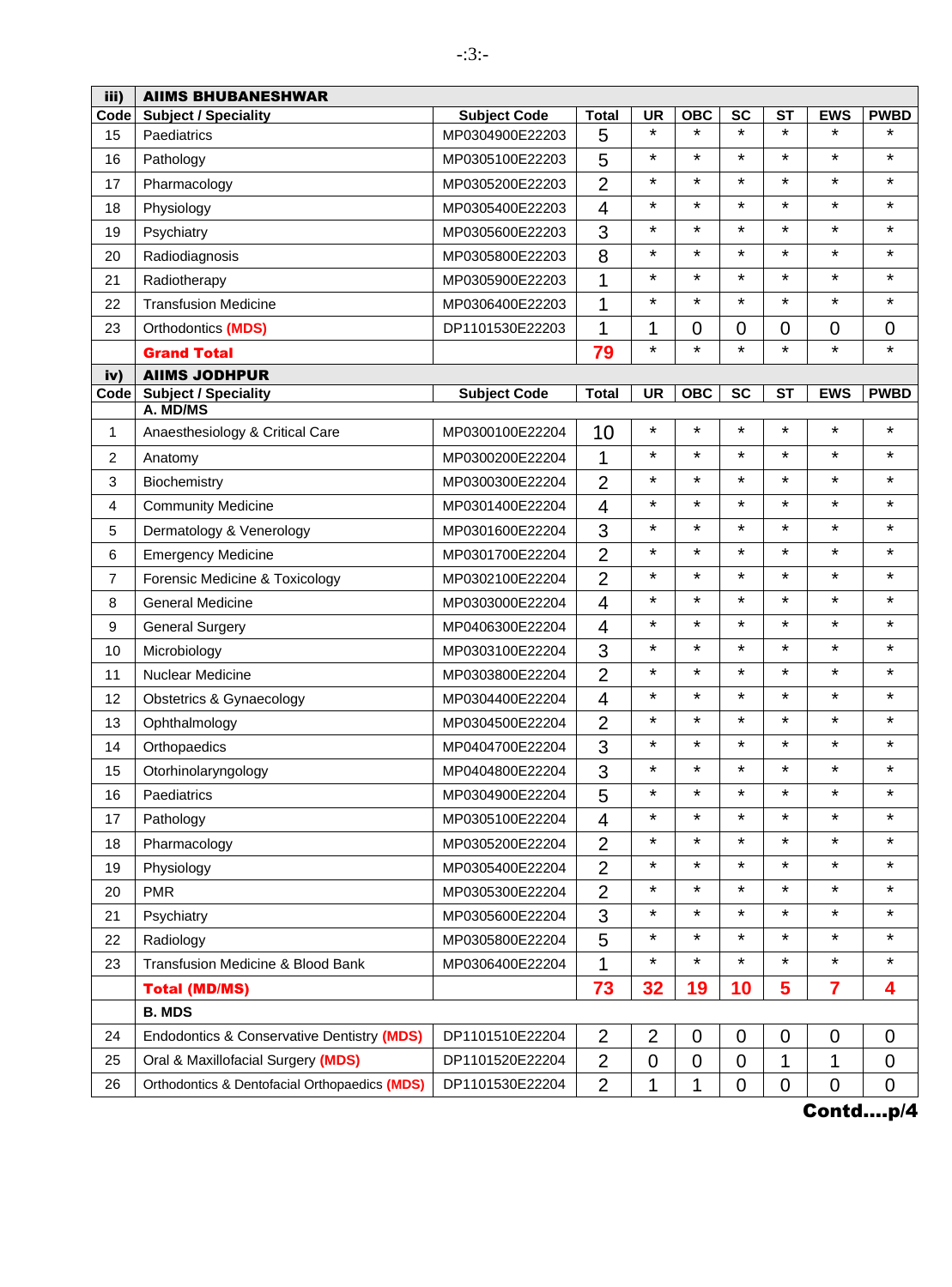| iii)           | <b>AIIMS BHUBANESHWAR</b>                     |                     |                |                |                |                |             |            |                |
|----------------|-----------------------------------------------|---------------------|----------------|----------------|----------------|----------------|-------------|------------|----------------|
| Code           | <b>Subject / Speciality</b>                   | <b>Subject Code</b> | <b>Total</b>   | <b>UR</b>      | <b>OBC</b>     | <b>SC</b>      | <b>ST</b>   | <b>EWS</b> | <b>PWBD</b>    |
| 15             | Paediatrics                                   | MP0304900E22203     | 5              | $\star$        | $\star$        | $\star$        | $\star$     | $\star$    | $\star$        |
| 16             | Pathology                                     | MP0305100E22203     | 5              | $\star$        | *              | $\star$        | *           | $\star$    | $\star$        |
| 17             | Pharmacology                                  | MP0305200E22203     | $\overline{2}$ | $\star$        | $\star$        | $\star$        | $\star$     | $\star$    | $\star$        |
| 18             | Physiology                                    | MP0305400E22203     | 4              | $\star$        | *              | $\star$        | $\star$     | $\star$    | $\star$        |
| 19             | Psychiatry                                    | MP0305600E22203     | 3              | $\star$        | *              | $\star$        | $\star$     | $\star$    | $\star$        |
| 20             | Radiodiagnosis                                | MP0305800E22203     | 8              | $\star$        | *              | $\star$        | $\star$     | $\star$    | $\star$        |
| 21             | Radiotherapy                                  | MP0305900E22203     | 1              | $\star$        | $\star$        | $\star$        | $\star$     | $\star$    | $\star$        |
| 22             | <b>Transfusion Medicine</b>                   | MP0306400E22203     | 1              | $\star$        | *              | $\star$        | *           | $\star$    | $\star$        |
| 23             | Orthodontics (MDS)                            | DP1101530E22203     | 1              | 1              | $\overline{0}$ | $\overline{0}$ | 0           | 0          | 0              |
|                | <b>Grand Total</b>                            |                     | 79             | $\star$        | $\star$        | $\star$        | $\star$     | $\star$    | $\star$        |
| iv)            | <b>AIIMS JODHPUR</b>                          |                     |                |                |                |                |             |            |                |
| Code           | <b>Subject / Speciality</b><br>A. MD/MS       | <b>Subject Code</b> | <b>Total</b>   | <b>UR</b>      | OBC            | <b>SC</b>      | <b>ST</b>   | <b>EWS</b> | <b>PWBD</b>    |
| 1              |                                               | MP0300100E22204     | 10             | *              | $\star$        | $\star$        | $\star$     | $\star$    | $\star$        |
|                | Anaesthesiology & Critical Care               |                     |                | $\star$        | *              | $\star$        | *           | $\star$    | $\star$        |
| 2              | Anatomy                                       | MP0300200E22204     | 1              | $\star$        | *              | $\star$        | $\star$     | $\star$    | *              |
| 3              | Biochemistry                                  | MP0300300E22204     | $\overline{2}$ | $\star$        | $\star$        | $\star$        | $\star$     | $\star$    | $\star$        |
| 4              | <b>Community Medicine</b>                     | MP0301400E22204     | 4              | $\star$        | $\star$        | $\star$        | $\star$     | $\star$    | $\star$        |
| 5              | Dermatology & Venerology                      | MP0301600E22204     | 3              |                | *              | $\star$        |             | $\star$    |                |
| 6              | <b>Emergency Medicine</b>                     | MP0301700E22204     | $\overline{2}$ | $\star$        |                |                | $\star$     |            | $\star$        |
| $\overline{7}$ | Forensic Medicine & Toxicology                | MP0302100E22204     | $\overline{2}$ | $\star$        | $\star$        | $\star$        | $\star$     | $\star$    | $\star$        |
| 8              | <b>General Medicine</b>                       | MP0303000E22204     | $\overline{4}$ | $\star$        | *              | $\star$        | *           | $\star$    | $\star$        |
| 9              | <b>General Surgery</b>                        | MP0406300E22204     | 4              | $\star$        | $\star$        | $\star$        | $\star$     | $\star$    | $\star$        |
| 10             | Microbiology                                  | MP0303100E22204     | 3              | $\star$        | *              | $\star$        | $\star$     | $\star$    | $\star$        |
| 11             | Nuclear Medicine                              | MP0303800E22204     | $\overline{2}$ | $\star$        | *              | $\star$        | $\star$     | $\star$    | $\star$        |
| 12             | Obstetrics & Gynaecology                      | MP0304400E22204     | 4              | $\star$        | *              | $\star$        | $\star$     | $\star$    | *              |
| 13             | Ophthalmology                                 | MP0304500E22204     | $\overline{2}$ | $\star$        | $\star$        | $\star$        | $\star$     | $\star$    | $\star$        |
| 14             | Orthopaedics                                  | MP0404700E22204     | 3              | *              | ¥              | $\star$        | *           | $\star$    | $\star$        |
| 15             | Otorhinolaryngology                           | MP0404800E22204     | 3              | $\star$        | *              | $\star$        | *           | $\star$    | $\star$        |
| 16             | Paediatrics                                   | MP0304900E22204     | 5              | *              |                |                |             |            | *              |
| 17             | Pathology                                     | MP0305100E22204     | 4              | $\star$        | *              | $\star$        | $\star$     | $\star$    | $\star$        |
| 18             | Pharmacology                                  | MP0305200E22204     | $\overline{2}$ | *              | *              | $\star$        | $^\star$    | $\star$    | $^\star$       |
| 19             | Physiology                                    | MP0305400E22204     | $\overline{2}$ | *              | ¥              | $\star$        | $\star$     | $\star$    | $\star$        |
| 20             | <b>PMR</b>                                    | MP0305300E22204     | $\overline{2}$ | *              | ¥              | $\star$        | $\star$     | $\star$    | *              |
| 21             | Psychiatry                                    | MP0305600E22204     | 3              | $\star$        | ¥              | $\star$        | $^\star$    | $\star$    | *              |
| 22             | Radiology                                     | MP0305800E22204     | 5              | *              | $\star$        | $\star$        | $\star$     | $\star$    | *              |
| 23             | Transfusion Medicine & Blood Bank             | MP0306400E22204     | 1              | $\star$        | $\star$        | $\star$        | $\star$     | $\star$    | $\star$        |
|                | <b>Total (MD/MS)</b>                          |                     | 73             | 32             | 19             | 10             | 5           | 7          | 4              |
|                | <b>B. MDS</b>                                 |                     |                |                |                |                |             |            |                |
| 24             | Endodontics & Conservative Dentistry (MDS)    | DP1101510E22204     | $\overline{2}$ | $\overline{2}$ | $\mathbf 0$    | 0              | $\mathbf 0$ | 0          | $\mathbf 0$    |
| 25             | Oral & Maxillofacial Surgery (MDS)            | DP1101520E22204     | $\overline{2}$ | $\overline{0}$ | $\overline{0}$ | $\overline{0}$ | 1           | 1          | $\overline{0}$ |
| 26             | Orthodontics & Dentofacial Orthopaedics (MDS) | DP1101530E22204     | $\overline{2}$ | 1              | 1              | 0              | $\mathbf 0$ | 0          | 0              |
|                |                                               |                     |                |                |                |                |             |            |                |

-:3:-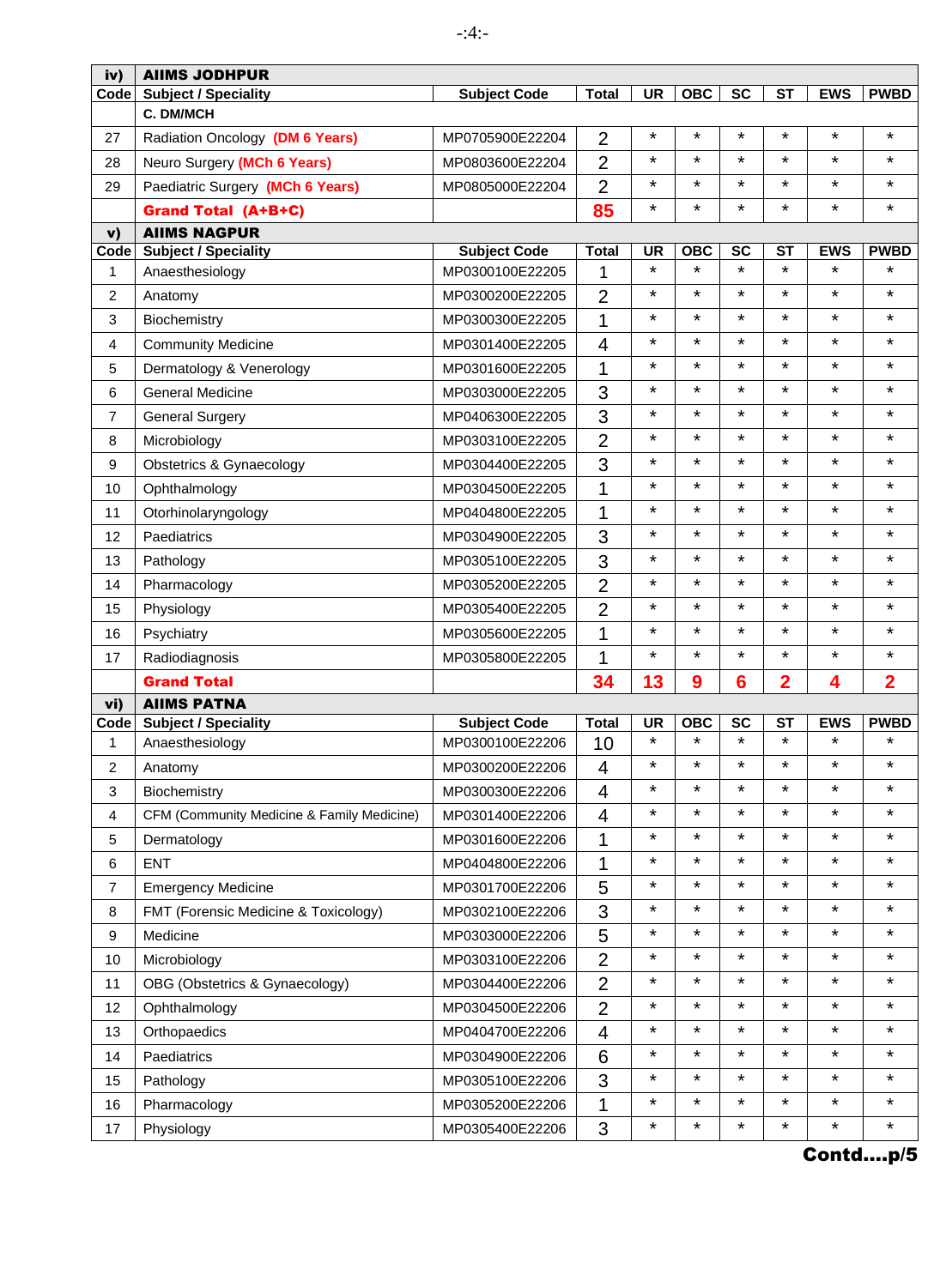| <b>Subject / Speciality</b><br><b>UR</b><br><b>OBC</b><br><b>SC</b><br><b>ST</b><br><b>EWS</b><br><b>PWBD</b><br>Code<br><b>Subject Code</b><br><b>Total</b><br>C. DM/MCH<br>$\star$<br>$\star$<br>$\star$<br>$\star$<br>$\star$<br>*<br>$\overline{2}$<br>27<br>Radiation Oncology (DM 6 Years)<br>MP0705900E22204<br>¥<br>$\star$<br>$\star$<br>$\star$<br>$\star$<br>*<br>$\overline{2}$<br>Neuro Surgery (MCh 6 Years)<br>28<br>MP0803600E22204<br>$\star$<br>$\star$<br>$\star$<br>$\star$<br>$\overline{2}$<br>$\star$<br>$\star$<br>Paediatric Surgery (MCh 6 Years)<br>29<br>MP0805000E22204<br>$\star$<br>$\star$<br>*<br>$\star$<br>$\star$<br>$\star$<br>85<br><b>Grand Total (A+B+C)</b><br><b>AIIMS NAGPUR</b><br>$\mathbf{v}$<br><b>Subject / Speciality</b><br><b>SC</b><br><b>ST</b><br><b>EWS</b><br><b>PWBD</b><br>Code<br><b>Subject Code</b><br><b>Total</b><br><b>UR</b><br><b>OBC</b><br>$\star$<br>$\star$<br>$\star$<br>$\star$<br>$\star$<br>$\star$<br>MP0300100E22205<br>1<br>$\mathbf{1}$<br>Anaesthesiology<br>$\star$<br>¥<br>¥<br>$\star$<br>$\star$<br>¥<br>$\overline{2}$<br>2<br>Anatomy<br>MP0300200E22205<br>¥<br>$\star$<br>$\star$<br>$\star$<br>$\star$<br>*<br>1<br>3<br>Biochemistry<br>MP0300300E22205<br>$\star$<br>$\star$<br>$\star$<br>$\star$<br>$\star$<br>*<br>4<br>4<br><b>Community Medicine</b><br>MP0301400E22205<br>$\star$<br>$\star$<br>¥<br>$\star$<br>$\star$<br>$\star$<br>1<br>5<br>Dermatology & Venerology<br>MP0301600E22205<br>¥<br>$\star$<br>$\star$<br>$\star$<br>$\star$<br>*<br>3<br><b>General Medicine</b><br>MP0303000E22205<br>6<br>¥<br>$\star$<br>$\star$<br>$\star$<br>$\star$<br>¥<br>3<br>$\overline{7}$<br>MP0406300E22205<br><b>General Surgery</b><br>¥<br>$\star$<br>$\star$<br>¥<br>$\overline{2}$<br>$\star$<br>$\star$<br>8<br>Microbiology<br>MP0303100E22205<br>*<br>$\star$<br>$\star$<br>3<br>$\star$<br>$\star$<br>¥<br>9<br>Obstetrics & Gynaecology<br>MP0304400E22205<br>$\star$<br>$\star$<br>¥<br>$\star$<br>$\star$<br>¥<br>1<br>10<br>Ophthalmology<br>MP0304500E22205<br>$\star$<br>$\star$<br>$\star$<br>$\star$<br>$\star$<br>$\star$<br>1<br>11<br>Otorhinolaryngology<br>MP0404800E22205<br>¥<br>$\star$<br>$\star$<br>$\star$<br>$\star$<br>*<br>3<br>12<br>Paediatrics<br>MP0304900E22205<br>$\star$<br>¥<br>$\star$<br>$\star$<br>$\star$<br>¥<br>3<br>MP0305100E22205<br>13<br>Pathology<br>$\star$<br>*<br>$\overline{2}$<br>¥<br>¥<br>$\star$<br>$\star$<br>14<br>Pharmacology<br>MP0305200E22205<br>¥<br>$\star$<br>$\star$<br>$\star$<br>$\star$<br>¥<br>$\overline{2}$<br>15<br>Physiology<br>MP0305400E22205<br>$\star$<br>$\star$<br>$\star$<br>$\star$<br>$\star$<br>*<br>1<br>16<br>Psychiatry<br>MP0305600E22205<br>$\star$<br>$\star$<br>¥<br>$\star$<br>$\star$<br>$\star$<br>1<br>17<br>Radiodiagnosis<br>MP0305800E22205<br>13<br>$\overline{2}$<br>34<br>9<br>2<br>4<br><b>Grand Total</b><br>6<br><b>AIIMS PATNA</b><br>vi)<br><b>UR</b><br><b>OBC</b><br><b>SC</b><br><b>ST</b><br><b>PWBD</b><br><b>Subject / Speciality</b><br><b>Subject Code</b><br><b>Total</b><br><b>EWS</b><br>Code<br>$\star$<br>$\star$<br>$\star$<br>*<br>$\star$<br>$\star$ |
|-----------------------------------------------------------------------------------------------------------------------------------------------------------------------------------------------------------------------------------------------------------------------------------------------------------------------------------------------------------------------------------------------------------------------------------------------------------------------------------------------------------------------------------------------------------------------------------------------------------------------------------------------------------------------------------------------------------------------------------------------------------------------------------------------------------------------------------------------------------------------------------------------------------------------------------------------------------------------------------------------------------------------------------------------------------------------------------------------------------------------------------------------------------------------------------------------------------------------------------------------------------------------------------------------------------------------------------------------------------------------------------------------------------------------------------------------------------------------------------------------------------------------------------------------------------------------------------------------------------------------------------------------------------------------------------------------------------------------------------------------------------------------------------------------------------------------------------------------------------------------------------------------------------------------------------------------------------------------------------------------------------------------------------------------------------------------------------------------------------------------------------------------------------------------------------------------------------------------------------------------------------------------------------------------------------------------------------------------------------------------------------------------------------------------------------------------------------------------------------------------------------------------------------------------------------------------------------------------------------------------------------------------------------------------------------------------------------------------------------------------------------------------------------------------------------------------------------------------------------------------------------------------------------------------------------------------------------------------------------------------------------------------------------------------------------------------------------------------------------------------------------------------------------------------------------|
|                                                                                                                                                                                                                                                                                                                                                                                                                                                                                                                                                                                                                                                                                                                                                                                                                                                                                                                                                                                                                                                                                                                                                                                                                                                                                                                                                                                                                                                                                                                                                                                                                                                                                                                                                                                                                                                                                                                                                                                                                                                                                                                                                                                                                                                                                                                                                                                                                                                                                                                                                                                                                                                                                                                                                                                                                                                                                                                                                                                                                                                                                                                                                                                   |
|                                                                                                                                                                                                                                                                                                                                                                                                                                                                                                                                                                                                                                                                                                                                                                                                                                                                                                                                                                                                                                                                                                                                                                                                                                                                                                                                                                                                                                                                                                                                                                                                                                                                                                                                                                                                                                                                                                                                                                                                                                                                                                                                                                                                                                                                                                                                                                                                                                                                                                                                                                                                                                                                                                                                                                                                                                                                                                                                                                                                                                                                                                                                                                                   |
|                                                                                                                                                                                                                                                                                                                                                                                                                                                                                                                                                                                                                                                                                                                                                                                                                                                                                                                                                                                                                                                                                                                                                                                                                                                                                                                                                                                                                                                                                                                                                                                                                                                                                                                                                                                                                                                                                                                                                                                                                                                                                                                                                                                                                                                                                                                                                                                                                                                                                                                                                                                                                                                                                                                                                                                                                                                                                                                                                                                                                                                                                                                                                                                   |
|                                                                                                                                                                                                                                                                                                                                                                                                                                                                                                                                                                                                                                                                                                                                                                                                                                                                                                                                                                                                                                                                                                                                                                                                                                                                                                                                                                                                                                                                                                                                                                                                                                                                                                                                                                                                                                                                                                                                                                                                                                                                                                                                                                                                                                                                                                                                                                                                                                                                                                                                                                                                                                                                                                                                                                                                                                                                                                                                                                                                                                                                                                                                                                                   |
|                                                                                                                                                                                                                                                                                                                                                                                                                                                                                                                                                                                                                                                                                                                                                                                                                                                                                                                                                                                                                                                                                                                                                                                                                                                                                                                                                                                                                                                                                                                                                                                                                                                                                                                                                                                                                                                                                                                                                                                                                                                                                                                                                                                                                                                                                                                                                                                                                                                                                                                                                                                                                                                                                                                                                                                                                                                                                                                                                                                                                                                                                                                                                                                   |
|                                                                                                                                                                                                                                                                                                                                                                                                                                                                                                                                                                                                                                                                                                                                                                                                                                                                                                                                                                                                                                                                                                                                                                                                                                                                                                                                                                                                                                                                                                                                                                                                                                                                                                                                                                                                                                                                                                                                                                                                                                                                                                                                                                                                                                                                                                                                                                                                                                                                                                                                                                                                                                                                                                                                                                                                                                                                                                                                                                                                                                                                                                                                                                                   |
|                                                                                                                                                                                                                                                                                                                                                                                                                                                                                                                                                                                                                                                                                                                                                                                                                                                                                                                                                                                                                                                                                                                                                                                                                                                                                                                                                                                                                                                                                                                                                                                                                                                                                                                                                                                                                                                                                                                                                                                                                                                                                                                                                                                                                                                                                                                                                                                                                                                                                                                                                                                                                                                                                                                                                                                                                                                                                                                                                                                                                                                                                                                                                                                   |
|                                                                                                                                                                                                                                                                                                                                                                                                                                                                                                                                                                                                                                                                                                                                                                                                                                                                                                                                                                                                                                                                                                                                                                                                                                                                                                                                                                                                                                                                                                                                                                                                                                                                                                                                                                                                                                                                                                                                                                                                                                                                                                                                                                                                                                                                                                                                                                                                                                                                                                                                                                                                                                                                                                                                                                                                                                                                                                                                                                                                                                                                                                                                                                                   |
|                                                                                                                                                                                                                                                                                                                                                                                                                                                                                                                                                                                                                                                                                                                                                                                                                                                                                                                                                                                                                                                                                                                                                                                                                                                                                                                                                                                                                                                                                                                                                                                                                                                                                                                                                                                                                                                                                                                                                                                                                                                                                                                                                                                                                                                                                                                                                                                                                                                                                                                                                                                                                                                                                                                                                                                                                                                                                                                                                                                                                                                                                                                                                                                   |
|                                                                                                                                                                                                                                                                                                                                                                                                                                                                                                                                                                                                                                                                                                                                                                                                                                                                                                                                                                                                                                                                                                                                                                                                                                                                                                                                                                                                                                                                                                                                                                                                                                                                                                                                                                                                                                                                                                                                                                                                                                                                                                                                                                                                                                                                                                                                                                                                                                                                                                                                                                                                                                                                                                                                                                                                                                                                                                                                                                                                                                                                                                                                                                                   |
|                                                                                                                                                                                                                                                                                                                                                                                                                                                                                                                                                                                                                                                                                                                                                                                                                                                                                                                                                                                                                                                                                                                                                                                                                                                                                                                                                                                                                                                                                                                                                                                                                                                                                                                                                                                                                                                                                                                                                                                                                                                                                                                                                                                                                                                                                                                                                                                                                                                                                                                                                                                                                                                                                                                                                                                                                                                                                                                                                                                                                                                                                                                                                                                   |
|                                                                                                                                                                                                                                                                                                                                                                                                                                                                                                                                                                                                                                                                                                                                                                                                                                                                                                                                                                                                                                                                                                                                                                                                                                                                                                                                                                                                                                                                                                                                                                                                                                                                                                                                                                                                                                                                                                                                                                                                                                                                                                                                                                                                                                                                                                                                                                                                                                                                                                                                                                                                                                                                                                                                                                                                                                                                                                                                                                                                                                                                                                                                                                                   |
|                                                                                                                                                                                                                                                                                                                                                                                                                                                                                                                                                                                                                                                                                                                                                                                                                                                                                                                                                                                                                                                                                                                                                                                                                                                                                                                                                                                                                                                                                                                                                                                                                                                                                                                                                                                                                                                                                                                                                                                                                                                                                                                                                                                                                                                                                                                                                                                                                                                                                                                                                                                                                                                                                                                                                                                                                                                                                                                                                                                                                                                                                                                                                                                   |
|                                                                                                                                                                                                                                                                                                                                                                                                                                                                                                                                                                                                                                                                                                                                                                                                                                                                                                                                                                                                                                                                                                                                                                                                                                                                                                                                                                                                                                                                                                                                                                                                                                                                                                                                                                                                                                                                                                                                                                                                                                                                                                                                                                                                                                                                                                                                                                                                                                                                                                                                                                                                                                                                                                                                                                                                                                                                                                                                                                                                                                                                                                                                                                                   |
|                                                                                                                                                                                                                                                                                                                                                                                                                                                                                                                                                                                                                                                                                                                                                                                                                                                                                                                                                                                                                                                                                                                                                                                                                                                                                                                                                                                                                                                                                                                                                                                                                                                                                                                                                                                                                                                                                                                                                                                                                                                                                                                                                                                                                                                                                                                                                                                                                                                                                                                                                                                                                                                                                                                                                                                                                                                                                                                                                                                                                                                                                                                                                                                   |
|                                                                                                                                                                                                                                                                                                                                                                                                                                                                                                                                                                                                                                                                                                                                                                                                                                                                                                                                                                                                                                                                                                                                                                                                                                                                                                                                                                                                                                                                                                                                                                                                                                                                                                                                                                                                                                                                                                                                                                                                                                                                                                                                                                                                                                                                                                                                                                                                                                                                                                                                                                                                                                                                                                                                                                                                                                                                                                                                                                                                                                                                                                                                                                                   |
|                                                                                                                                                                                                                                                                                                                                                                                                                                                                                                                                                                                                                                                                                                                                                                                                                                                                                                                                                                                                                                                                                                                                                                                                                                                                                                                                                                                                                                                                                                                                                                                                                                                                                                                                                                                                                                                                                                                                                                                                                                                                                                                                                                                                                                                                                                                                                                                                                                                                                                                                                                                                                                                                                                                                                                                                                                                                                                                                                                                                                                                                                                                                                                                   |
|                                                                                                                                                                                                                                                                                                                                                                                                                                                                                                                                                                                                                                                                                                                                                                                                                                                                                                                                                                                                                                                                                                                                                                                                                                                                                                                                                                                                                                                                                                                                                                                                                                                                                                                                                                                                                                                                                                                                                                                                                                                                                                                                                                                                                                                                                                                                                                                                                                                                                                                                                                                                                                                                                                                                                                                                                                                                                                                                                                                                                                                                                                                                                                                   |
|                                                                                                                                                                                                                                                                                                                                                                                                                                                                                                                                                                                                                                                                                                                                                                                                                                                                                                                                                                                                                                                                                                                                                                                                                                                                                                                                                                                                                                                                                                                                                                                                                                                                                                                                                                                                                                                                                                                                                                                                                                                                                                                                                                                                                                                                                                                                                                                                                                                                                                                                                                                                                                                                                                                                                                                                                                                                                                                                                                                                                                                                                                                                                                                   |
|                                                                                                                                                                                                                                                                                                                                                                                                                                                                                                                                                                                                                                                                                                                                                                                                                                                                                                                                                                                                                                                                                                                                                                                                                                                                                                                                                                                                                                                                                                                                                                                                                                                                                                                                                                                                                                                                                                                                                                                                                                                                                                                                                                                                                                                                                                                                                                                                                                                                                                                                                                                                                                                                                                                                                                                                                                                                                                                                                                                                                                                                                                                                                                                   |
|                                                                                                                                                                                                                                                                                                                                                                                                                                                                                                                                                                                                                                                                                                                                                                                                                                                                                                                                                                                                                                                                                                                                                                                                                                                                                                                                                                                                                                                                                                                                                                                                                                                                                                                                                                                                                                                                                                                                                                                                                                                                                                                                                                                                                                                                                                                                                                                                                                                                                                                                                                                                                                                                                                                                                                                                                                                                                                                                                                                                                                                                                                                                                                                   |
|                                                                                                                                                                                                                                                                                                                                                                                                                                                                                                                                                                                                                                                                                                                                                                                                                                                                                                                                                                                                                                                                                                                                                                                                                                                                                                                                                                                                                                                                                                                                                                                                                                                                                                                                                                                                                                                                                                                                                                                                                                                                                                                                                                                                                                                                                                                                                                                                                                                                                                                                                                                                                                                                                                                                                                                                                                                                                                                                                                                                                                                                                                                                                                                   |
|                                                                                                                                                                                                                                                                                                                                                                                                                                                                                                                                                                                                                                                                                                                                                                                                                                                                                                                                                                                                                                                                                                                                                                                                                                                                                                                                                                                                                                                                                                                                                                                                                                                                                                                                                                                                                                                                                                                                                                                                                                                                                                                                                                                                                                                                                                                                                                                                                                                                                                                                                                                                                                                                                                                                                                                                                                                                                                                                                                                                                                                                                                                                                                                   |
|                                                                                                                                                                                                                                                                                                                                                                                                                                                                                                                                                                                                                                                                                                                                                                                                                                                                                                                                                                                                                                                                                                                                                                                                                                                                                                                                                                                                                                                                                                                                                                                                                                                                                                                                                                                                                                                                                                                                                                                                                                                                                                                                                                                                                                                                                                                                                                                                                                                                                                                                                                                                                                                                                                                                                                                                                                                                                                                                                                                                                                                                                                                                                                                   |
|                                                                                                                                                                                                                                                                                                                                                                                                                                                                                                                                                                                                                                                                                                                                                                                                                                                                                                                                                                                                                                                                                                                                                                                                                                                                                                                                                                                                                                                                                                                                                                                                                                                                                                                                                                                                                                                                                                                                                                                                                                                                                                                                                                                                                                                                                                                                                                                                                                                                                                                                                                                                                                                                                                                                                                                                                                                                                                                                                                                                                                                                                                                                                                                   |
|                                                                                                                                                                                                                                                                                                                                                                                                                                                                                                                                                                                                                                                                                                                                                                                                                                                                                                                                                                                                                                                                                                                                                                                                                                                                                                                                                                                                                                                                                                                                                                                                                                                                                                                                                                                                                                                                                                                                                                                                                                                                                                                                                                                                                                                                                                                                                                                                                                                                                                                                                                                                                                                                                                                                                                                                                                                                                                                                                                                                                                                                                                                                                                                   |
|                                                                                                                                                                                                                                                                                                                                                                                                                                                                                                                                                                                                                                                                                                                                                                                                                                                                                                                                                                                                                                                                                                                                                                                                                                                                                                                                                                                                                                                                                                                                                                                                                                                                                                                                                                                                                                                                                                                                                                                                                                                                                                                                                                                                                                                                                                                                                                                                                                                                                                                                                                                                                                                                                                                                                                                                                                                                                                                                                                                                                                                                                                                                                                                   |
|                                                                                                                                                                                                                                                                                                                                                                                                                                                                                                                                                                                                                                                                                                                                                                                                                                                                                                                                                                                                                                                                                                                                                                                                                                                                                                                                                                                                                                                                                                                                                                                                                                                                                                                                                                                                                                                                                                                                                                                                                                                                                                                                                                                                                                                                                                                                                                                                                                                                                                                                                                                                                                                                                                                                                                                                                                                                                                                                                                                                                                                                                                                                                                                   |
| 1<br>Anaesthesiology<br>MP0300100E22206<br>10                                                                                                                                                                                                                                                                                                                                                                                                                                                                                                                                                                                                                                                                                                                                                                                                                                                                                                                                                                                                                                                                                                                                                                                                                                                                                                                                                                                                                                                                                                                                                                                                                                                                                                                                                                                                                                                                                                                                                                                                                                                                                                                                                                                                                                                                                                                                                                                                                                                                                                                                                                                                                                                                                                                                                                                                                                                                                                                                                                                                                                                                                                                                     |
| ¥<br>*<br>*<br>*<br>*<br>$\star$<br>$\overline{\mathbf{4}}$<br>2<br>MP0300200E22206<br>Anatomy                                                                                                                                                                                                                                                                                                                                                                                                                                                                                                                                                                                                                                                                                                                                                                                                                                                                                                                                                                                                                                                                                                                                                                                                                                                                                                                                                                                                                                                                                                                                                                                                                                                                                                                                                                                                                                                                                                                                                                                                                                                                                                                                                                                                                                                                                                                                                                                                                                                                                                                                                                                                                                                                                                                                                                                                                                                                                                                                                                                                                                                                                    |
| ¥<br>$\star$<br>$\star$<br>$\star$<br>$\star$<br>¥<br>3<br>4<br>Biochemistry<br>MP0300300E22206                                                                                                                                                                                                                                                                                                                                                                                                                                                                                                                                                                                                                                                                                                                                                                                                                                                                                                                                                                                                                                                                                                                                                                                                                                                                                                                                                                                                                                                                                                                                                                                                                                                                                                                                                                                                                                                                                                                                                                                                                                                                                                                                                                                                                                                                                                                                                                                                                                                                                                                                                                                                                                                                                                                                                                                                                                                                                                                                                                                                                                                                                   |
| ¥<br>*<br>$\star$<br>$\star$<br>$\star$<br>¥<br>4<br>4<br>CFM (Community Medicine & Family Medicine)<br>MP0301400E22206                                                                                                                                                                                                                                                                                                                                                                                                                                                                                                                                                                                                                                                                                                                                                                                                                                                                                                                                                                                                                                                                                                                                                                                                                                                                                                                                                                                                                                                                                                                                                                                                                                                                                                                                                                                                                                                                                                                                                                                                                                                                                                                                                                                                                                                                                                                                                                                                                                                                                                                                                                                                                                                                                                                                                                                                                                                                                                                                                                                                                                                           |
| $\star$<br>$\star$<br>$\star$<br>$\star$<br>$\star$<br>$\star$<br>1<br>5<br>MP0301600E22206<br>Dermatology                                                                                                                                                                                                                                                                                                                                                                                                                                                                                                                                                                                                                                                                                                                                                                                                                                                                                                                                                                                                                                                                                                                                                                                                                                                                                                                                                                                                                                                                                                                                                                                                                                                                                                                                                                                                                                                                                                                                                                                                                                                                                                                                                                                                                                                                                                                                                                                                                                                                                                                                                                                                                                                                                                                                                                                                                                                                                                                                                                                                                                                                        |
| ¥<br>$\star$<br>$\star$<br>$^\star$<br>$\star$<br>*<br>1<br><b>ENT</b><br>6<br>MP0404800E22206                                                                                                                                                                                                                                                                                                                                                                                                                                                                                                                                                                                                                                                                                                                                                                                                                                                                                                                                                                                                                                                                                                                                                                                                                                                                                                                                                                                                                                                                                                                                                                                                                                                                                                                                                                                                                                                                                                                                                                                                                                                                                                                                                                                                                                                                                                                                                                                                                                                                                                                                                                                                                                                                                                                                                                                                                                                                                                                                                                                                                                                                                    |
| ¥<br>$\star$<br>$\star$<br>$\star$<br>$\star$<br>¥<br>5<br>$\overline{7}$<br><b>Emergency Medicine</b><br>MP0301700E22206                                                                                                                                                                                                                                                                                                                                                                                                                                                                                                                                                                                                                                                                                                                                                                                                                                                                                                                                                                                                                                                                                                                                                                                                                                                                                                                                                                                                                                                                                                                                                                                                                                                                                                                                                                                                                                                                                                                                                                                                                                                                                                                                                                                                                                                                                                                                                                                                                                                                                                                                                                                                                                                                                                                                                                                                                                                                                                                                                                                                                                                         |
| ¥<br>$\star$<br>$\star$<br>$\star$<br>$\star$<br>¥<br>3<br>FMT (Forensic Medicine & Toxicology)<br>8<br>MP0302100E22206                                                                                                                                                                                                                                                                                                                                                                                                                                                                                                                                                                                                                                                                                                                                                                                                                                                                                                                                                                                                                                                                                                                                                                                                                                                                                                                                                                                                                                                                                                                                                                                                                                                                                                                                                                                                                                                                                                                                                                                                                                                                                                                                                                                                                                                                                                                                                                                                                                                                                                                                                                                                                                                                                                                                                                                                                                                                                                                                                                                                                                                           |
| ¥<br>¥<br>$\star$<br>$\star$<br>$\star$<br>*<br>5<br>9<br>Medicine<br>MP0303000E22206                                                                                                                                                                                                                                                                                                                                                                                                                                                                                                                                                                                                                                                                                                                                                                                                                                                                                                                                                                                                                                                                                                                                                                                                                                                                                                                                                                                                                                                                                                                                                                                                                                                                                                                                                                                                                                                                                                                                                                                                                                                                                                                                                                                                                                                                                                                                                                                                                                                                                                                                                                                                                                                                                                                                                                                                                                                                                                                                                                                                                                                                                             |
| $\star$<br>$\star$<br>$\star$<br>$\star$<br>$\star$<br>$\overline{2}$<br>*<br>MP0303100E22206<br>10<br>Microbiology                                                                                                                                                                                                                                                                                                                                                                                                                                                                                                                                                                                                                                                                                                                                                                                                                                                                                                                                                                                                                                                                                                                                                                                                                                                                                                                                                                                                                                                                                                                                                                                                                                                                                                                                                                                                                                                                                                                                                                                                                                                                                                                                                                                                                                                                                                                                                                                                                                                                                                                                                                                                                                                                                                                                                                                                                                                                                                                                                                                                                                                               |
| $\star$<br>¥<br>$\star$<br>$\star$<br>$\star$<br>¥<br>$\overline{2}$<br>11<br>OBG (Obstetrics & Gynaecology)<br>MP0304400E22206                                                                                                                                                                                                                                                                                                                                                                                                                                                                                                                                                                                                                                                                                                                                                                                                                                                                                                                                                                                                                                                                                                                                                                                                                                                                                                                                                                                                                                                                                                                                                                                                                                                                                                                                                                                                                                                                                                                                                                                                                                                                                                                                                                                                                                                                                                                                                                                                                                                                                                                                                                                                                                                                                                                                                                                                                                                                                                                                                                                                                                                   |
| $\star$<br>$\star$<br>$\star$<br>$\star$<br>$\star$<br>*<br>$\overline{2}$<br>MP0304500E22206<br>12<br>Ophthalmology                                                                                                                                                                                                                                                                                                                                                                                                                                                                                                                                                                                                                                                                                                                                                                                                                                                                                                                                                                                                                                                                                                                                                                                                                                                                                                                                                                                                                                                                                                                                                                                                                                                                                                                                                                                                                                                                                                                                                                                                                                                                                                                                                                                                                                                                                                                                                                                                                                                                                                                                                                                                                                                                                                                                                                                                                                                                                                                                                                                                                                                              |
| ¥<br>$\star$<br>$\star$<br>$\star$<br>$\star$<br>*<br>$\overline{\mathcal{A}}$<br>13<br>Orthopaedics<br>MP0404700E22206                                                                                                                                                                                                                                                                                                                                                                                                                                                                                                                                                                                                                                                                                                                                                                                                                                                                                                                                                                                                                                                                                                                                                                                                                                                                                                                                                                                                                                                                                                                                                                                                                                                                                                                                                                                                                                                                                                                                                                                                                                                                                                                                                                                                                                                                                                                                                                                                                                                                                                                                                                                                                                                                                                                                                                                                                                                                                                                                                                                                                                                           |
| ¥<br>$\star$<br>$\star$<br>$\star$<br>$\star$<br>¥<br>6<br>MP0304900E22206<br>14<br>Paediatrics                                                                                                                                                                                                                                                                                                                                                                                                                                                                                                                                                                                                                                                                                                                                                                                                                                                                                                                                                                                                                                                                                                                                                                                                                                                                                                                                                                                                                                                                                                                                                                                                                                                                                                                                                                                                                                                                                                                                                                                                                                                                                                                                                                                                                                                                                                                                                                                                                                                                                                                                                                                                                                                                                                                                                                                                                                                                                                                                                                                                                                                                                   |
| ¥<br>$\star$<br>$\star$<br>$\star$<br>$\star$<br>*<br>3<br>15<br>MP0305100E22206<br>Pathology                                                                                                                                                                                                                                                                                                                                                                                                                                                                                                                                                                                                                                                                                                                                                                                                                                                                                                                                                                                                                                                                                                                                                                                                                                                                                                                                                                                                                                                                                                                                                                                                                                                                                                                                                                                                                                                                                                                                                                                                                                                                                                                                                                                                                                                                                                                                                                                                                                                                                                                                                                                                                                                                                                                                                                                                                                                                                                                                                                                                                                                                                     |
| $\star$<br>¥<br>$\star$<br>$\star$<br>$\star$<br>$\star$<br>1<br>16<br>Pharmacology<br>MP0305200E22206                                                                                                                                                                                                                                                                                                                                                                                                                                                                                                                                                                                                                                                                                                                                                                                                                                                                                                                                                                                                                                                                                                                                                                                                                                                                                                                                                                                                                                                                                                                                                                                                                                                                                                                                                                                                                                                                                                                                                                                                                                                                                                                                                                                                                                                                                                                                                                                                                                                                                                                                                                                                                                                                                                                                                                                                                                                                                                                                                                                                                                                                            |
| $\star$<br>$\star$<br>3<br>*<br>$\star$<br>$\star$<br>$\star$<br>Physiology<br>MP0305400E22206<br>17                                                                                                                                                                                                                                                                                                                                                                                                                                                                                                                                                                                                                                                                                                                                                                                                                                                                                                                                                                                                                                                                                                                                                                                                                                                                                                                                                                                                                                                                                                                                                                                                                                                                                                                                                                                                                                                                                                                                                                                                                                                                                                                                                                                                                                                                                                                                                                                                                                                                                                                                                                                                                                                                                                                                                                                                                                                                                                                                                                                                                                                                              |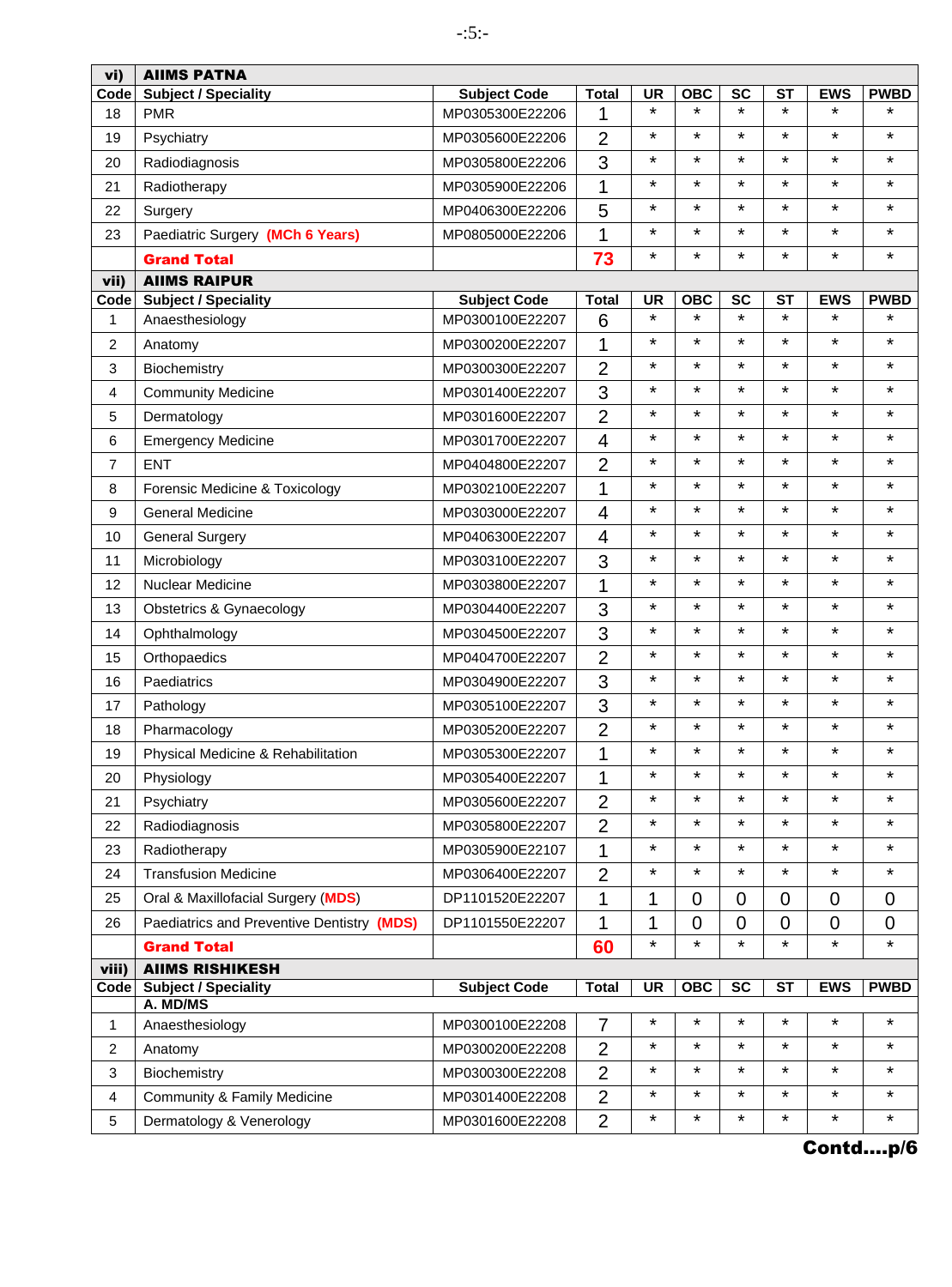| vi)            | <b>AIIMS PATNA</b>                         |                     |                |           |                |                      |                      |                |             |
|----------------|--------------------------------------------|---------------------|----------------|-----------|----------------|----------------------|----------------------|----------------|-------------|
| Code           | <b>Subject / Speciality</b>                | <b>Subject Code</b> | <b>Total</b>   | <b>UR</b> | <b>OBC</b>     | <b>SC</b>            | <b>ST</b>            | <b>EWS</b>     | <b>PWBD</b> |
| 18             | <b>PMR</b>                                 | MP0305300E22206     | 1              | $\star$   | $\star$        | $\star$              | $\star$              | $\star$        | *           |
| 19             | Psychiatry                                 | MP0305600E22206     | $\overline{2}$ | ¥         | *              | $\star$              | $\star$              | $\star$        | $\star$     |
| 20             | Radiodiagnosis                             | MP0305800E22206     | 3              | *         | $\star$        | $\star$              | $\star$              | $\star$        | $\star$     |
| 21             | Radiotherapy                               | MP0305900E22206     | 1              | $\star$   | $\star$        | $\star$              | $\star$              | $\star$        | $\star$     |
| 22             | Surgery                                    | MP0406300E22206     | 5              | ¥         | $\star$        | $\star$              | $\star$              | $\star$        | $\star$     |
| 23             | Paediatric Surgery (MCh 6 Years)           | MP0805000E22206     | 1              | ¥         | $\star$        | $\star$              | $\star$              | $\star$        | $\star$     |
|                | <b>Grand Total</b>                         |                     | 73             | ¥         | $\star$        | $\star$              | $\star$              | $\star$        | $\star$     |
| vii)           | <b>AIIMS RAIPUR</b>                        |                     |                |           |                |                      |                      |                |             |
| Code           | <b>Subject / Speciality</b>                | <b>Subject Code</b> | <b>Total</b>   | <b>UR</b> | OBC<br>$\star$ | <b>SC</b><br>$\star$ | <b>ST</b><br>$\star$ | <b>EWS</b>     | <b>PWBD</b> |
| 1              | Anaesthesiology                            | MP0300100E22207     | 6              | ¥         |                |                      |                      | $\star$        | *           |
| $\overline{c}$ | Anatomy                                    | MP0300200E22207     | 1              | *         | $\star$        | $\star$              | $\star$              | $\star$        | $\star$     |
| 3              | Biochemistry                               | MP0300300E22207     | $\overline{2}$ | ¥         | $\star$        | $\star$              | $\star$              | $\star$        | $\star$     |
| 4              | <b>Community Medicine</b>                  | MP0301400E22207     | 3              | $\star$   | $\star$        | $\star$              | $\star$              | $\star$        | $\star$     |
| 5              | Dermatology                                | MP0301600E22207     | $\overline{2}$ | ¥         | $\star$        | $\star$              | $\star$              | $\star$        | $\star$     |
| 6              | <b>Emergency Medicine</b>                  | MP0301700E22207     | $\overline{4}$ | ¥         | $\star$        | $\star$              | $\star$              | $\star$        | $\star$     |
| 7              | <b>ENT</b>                                 | MP0404800E22207     | $\overline{2}$ | ¥         | $\star$        | $\star$              | $\star$              | $\star$        | $\star$     |
| 8              | Forensic Medicine & Toxicology             | MP0302100E22207     | 1              | ¥         | $\star$        | $\star$              | $\star$              | $\star$        | $\star$     |
| 9              | <b>General Medicine</b>                    | MP0303000E22207     | 4              | $\star$   | $\star$        | $\star$              | $\star$              | $\star$        | $\star$     |
| 10             | <b>General Surgery</b>                     | MP0406300E22207     | $\overline{4}$ | ¥         | $\star$        | $\star$              | $\star$              | $\star$        | $\star$     |
| 11             | Microbiology                               | MP0303100E22207     | 3              | ¥         | $\star$        | $\star$              | $\star$              | $\star$        | $\star$     |
| 12             | <b>Nuclear Medicine</b>                    | MP0303800E22207     | 1              | ¥         | $\star$        | $\star$              | $\star$              | $\star$        | $\star$     |
| 13             | Obstetrics & Gynaecology                   | MP0304400E22207     | 3              | ¥         | $\star$        | $\star$              | $\star$              | $\star$        | $\star$     |
| 14             | Ophthalmology                              | MP0304500E22207     | 3              | ¥         | $\star$        | $\star$              | $\star$              | $\star$        | $\star$     |
| 15             | Orthopaedics                               | MP0404700E22207     | $\overline{2}$ | ¥         | $\star$        | $\star$              | $\star$              | $\star$        | $\star$     |
| 16             | Paediatrics                                | MP0304900E22207     | 3              | $\star$   | $\star$        | $\star$              | $\star$              | $\star$        | $\star$     |
| 17             | Pathology                                  | MP0305100E22207     | 3              | ¥         | $\star$        | $\star$              | $\star$              | $\star$        | $\star$     |
| 18             | Pharmacology                               | MP0305200E22207     | $\overline{2}$ | ¥         | $\star$        | $\star$              | $\star$              | $\star$        | ¥           |
| 19             | Physical Medicine & Rehabilitation         | MP0305300E22207     | 1              | ¥         | $\star$        | $\star$              | $\star$              | $\star$        | $\star$     |
| 20             | Physiology                                 | MP0305400E22207     | 1              | ¥         | $\star$        | $\star$              | $\star$              | $\star$        | ¥           |
| 21             | Psychiatry                                 | MP0305600E22207     | $\overline{2}$ | $\star$   | $\star$        | $\star$              | $\star$              | *              | $\star$     |
| 22             | Radiodiagnosis                             | MP0305800E22207     | $\overline{2}$ | ¥         | $\star$        | $\star$              | $\star$              | $\star$        | $\star$     |
| 23             | Radiotherapy                               | MP0305900E22107     | 1              | ¥         | $\star$        | $\star$              | $^\star$             | $\star$        | ¥           |
| 24             | <b>Transfusion Medicine</b>                | MP0306400E22207     | $\overline{2}$ | *         | $\star$        | $\star$              | $^\star$             | *              | ¥           |
| 25             | Oral & Maxillofacial Surgery (MDS)         | DP1101520E22207     | 1              | 1         | $\overline{0}$ | $\overline{0}$       | $\overline{0}$       | $\overline{0}$ | 0           |
| 26             | Paediatrics and Preventive Dentistry (MDS) | DP1101550E22207     | 1              | 1         | 0              | 0                    | $\mathbf 0$          | $\mathbf 0$    | 0           |
|                | <b>Grand Total</b>                         |                     | 60             | $\star$   | $\star$        | $\star$              | $\star$              | $\star$        | $\star$     |
| viii)          | <b>AIIMS RISHIKESH</b>                     |                     |                |           |                |                      |                      |                |             |
| Code           | <b>Subject / Speciality</b><br>A. MD/MS    | <b>Subject Code</b> | <b>Total</b>   | <b>UR</b> | <b>OBC</b>     | <b>SC</b>            | <b>ST</b>            | <b>EWS</b>     | <b>PWBD</b> |
| 1              | Anaesthesiology                            | MP0300100E22208     | 7              | *         | $\star$        | $\star$              | $^\star$             | $\star$        | $\star$     |
| $\overline{2}$ | Anatomy                                    | MP0300200E22208     | $\overline{2}$ | ¥         | $\star$        | $\star$              | $\star$              | $\star$        | ¥           |
| 3              | Biochemistry                               | MP0300300E22208     | $\overline{2}$ | $\star$   | $\star$        | $\star$              | $\star$              | *              | ¥           |
| 4              | Community & Family Medicine                | MP0301400E22208     | $\overline{2}$ | ¥         | $\star$        | $\star$              | $\star$              | $\star$        | ¥           |
| 5              | Dermatology & Venerology                   | MP0301600E22208     | $\overline{2}$ | $\star$   | $\star$        | $\star$              | $\star$              | $\star$        | ¥           |
|                |                                            |                     |                |           |                |                      |                      |                |             |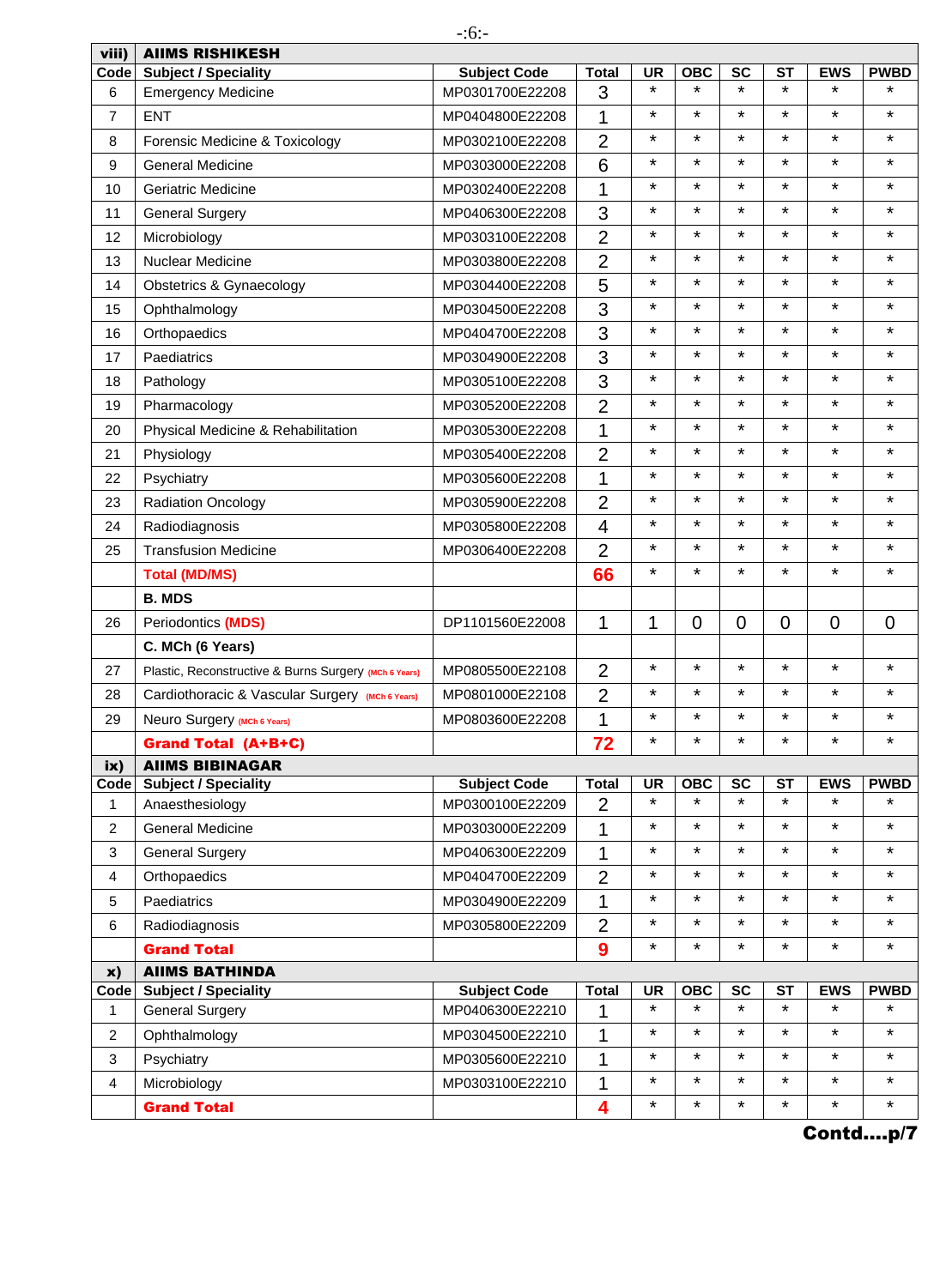| viii)          | <b>AIIMS RISHIKESH</b>                                |                     |                |           |                |                |                |                |                |
|----------------|-------------------------------------------------------|---------------------|----------------|-----------|----------------|----------------|----------------|----------------|----------------|
| Code           | <b>Subject / Speciality</b>                           | <b>Subject Code</b> | <b>Total</b>   | <b>UR</b> | OBC            | <b>SC</b>      | <b>ST</b>      | <b>EWS</b>     | <b>PWBD</b>    |
| 6              | <b>Emergency Medicine</b>                             | MP0301700E22208     | 3              | $\star$   | $\star$        | $\star$        | $\star$        | $\star$        | ¥              |
| $\overline{7}$ | <b>ENT</b>                                            | MP0404800E22208     | 1              | $\star$   | $\star$        | $\star$        | $\star$        | $\star$        | $\star$        |
| 8              | Forensic Medicine & Toxicology                        | MP0302100E22208     | $\overline{2}$ | $\star$   | $\star$        | $\star$        | $\star$        | $\star$        | $\star$        |
| 9              | <b>General Medicine</b>                               | MP0303000E22208     | 6              | $\star$   | $\star$        | $\star$        | $\star$        | $\star$        | $\star$        |
| 10             | <b>Geriatric Medicine</b>                             | MP0302400E22208     | 1              | *         | $\star$        | $\star$        | $\star$        | $\star$        | ¥              |
| 11             | <b>General Surgery</b>                                | MP0406300E22208     | 3              | $\star$   | $\star$        | $\star$        | $\star$        | $\star$        | $\star$        |
| 12             | Microbiology                                          | MP0303100E22208     | $\overline{2}$ | $\star$   | $\star$        | $\star$        | $\star$        | $\star$        | $\star$        |
| 13             | Nuclear Medicine                                      | MP0303800E22208     | $\overline{2}$ | $\star$   | $\star$        | $\star$        | $\star$        | $\star$        | $\star$        |
| 14             | Obstetrics & Gynaecology                              | MP0304400E22208     | 5              | $\star$   | $\star$        | $\star$        | $\star$        | $\star$        | $\star$        |
| 15             | Ophthalmology                                         | MP0304500E22208     | 3              | $\star$   | $\star$        | $\star$        | $\star$        | $\star$        | $\star$        |
| 16             | Orthopaedics                                          | MP0404700E22208     | 3              | $\star$   | $\star$        | $\star$        | $\star$        | $\star$        | ¥              |
| 17             | Paediatrics                                           | MP0304900E22208     | 3              | $\star$   | $\star$        | $\star$        | $\star$        | $\star$        | $\star$        |
| 18             | Pathology                                             | MP0305100E22208     | 3              | $\star$   | $\star$        | $\star$        | $\star$        | $\star$        | ¥              |
| 19             | Pharmacology                                          | MP0305200E22208     | $\overline{2}$ | $\star$   | $\star$        | $\star$        | $\star$        | $\star$        | $\star$        |
| 20             | Physical Medicine & Rehabilitation                    | MP0305300E22208     | 1              | $\star$   | $\star$        | $\star$        | $\star$        | $\star$        | $\star$        |
| 21             | Physiology                                            | MP0305400E22208     | $\overline{2}$ | $\star$   | $\star$        | $\star$        | $\star$        | $\star$        | $\star$        |
| 22             | Psychiatry                                            | MP0305600E22208     | 1              | *         | $\star$        | $\star$        | $\star$        | $\star$        | $\star$        |
| 23             | <b>Radiation Oncology</b>                             | MP0305900E22208     | $\overline{2}$ | $\star$   | $\star$        | $\star$        | $\star$        | $\star$        | $\star$        |
| 24             | Radiodiagnosis                                        | MP0305800E22208     | $\overline{4}$ | $\star$   | $\star$        | $\star$        | $\star$        | $\star$        | $\star$        |
| 25             | <b>Transfusion Medicine</b>                           | MP0306400E22208     | $\overline{2}$ | $\star$   | $\star$        | $\star$        | $\star$        | $\star$        | ¥              |
|                | <b>Total (MD/MS)</b>                                  |                     | 66             | $\star$   | $\star$        | $\star$        | $\star$        | $\star$        | $\star$        |
|                | <b>B. MDS</b>                                         |                     |                |           |                |                |                |                |                |
| 26             | Periodontics (MDS)                                    | DP1101560E22008     | 1              | 1         | $\overline{0}$ | $\overline{0}$ | $\overline{0}$ | $\overline{0}$ | $\overline{0}$ |
|                | C. MCh (6 Years)                                      |                     |                |           |                |                |                |                |                |
| 27             | Plastic, Reconstructive & Burns Surgery (MCh 6 Years) | MP0805500E22108     | $\overline{2}$ | $\star$   | $\star$        | $\star$        | $\star$        | $\star$        | $\star$        |
| 28             | Cardiothoracic & Vascular Surgery (MCh 6 Years)       | MP0801000E22108     | $\overline{2}$ | $\star$   | $\star$        | $\star$        | $\star$        | $\star$        | $\star$        |
| 29             | Neuro Surgery (MCh 6 Years)                           | MP0803600E22208     | 1              | $\star$   | $\star$        | $\star$        | $\star$        | $\star$        | ¥              |
|                | <b>Grand Total (A+B+C)</b>                            |                     | 72             | $\star$   | $\star$        | $\star$        | $\star$        | $\star$        | $\star$        |
| ix)            | <b>AIIMS BIBINAGAR</b>                                |                     |                |           |                |                |                |                |                |
| Code           | <b>Subject / Speciality</b>                           | <b>Subject Code</b> | <b>Total</b>   | <b>UR</b> | <b>OBC</b>     | <b>SC</b>      | <b>ST</b>      | <b>EWS</b>     | <b>PWBD</b>    |
| 1              | Anaesthesiology                                       | MP0300100E22209     | $\overline{2}$ | $\star$   | $\star$        | $\star$        | $\star$        | $\star$        | ¥              |
| 2              | <b>General Medicine</b>                               | MP0303000E22209     | 1              | $\star$   | $\star$        | $\star$        | $\star$        | $\star$        | ¥              |
| 3              | <b>General Surgery</b>                                | MP0406300E22209     | 1              | $\star$   | $\star$        | $\star$        | $\star$        | *              | $\star$        |
| 4              | Orthopaedics                                          | MP0404700E22209     | $\overline{2}$ | $\star$   | $\star$        | $\star$        | $\star$        | *              | ¥              |
| 5              | Paediatrics                                           | MP0304900E22209     | 1              | $\star$   | $\star$        | $\star$        | $\star$        | $\star$        | $\star$        |
| 6              | Radiodiagnosis                                        | MP0305800E22209     | $\overline{2}$ | $\star$   | $\star$        | $\star$        | $\star$        | $\star$        | $\star$        |
|                | <b>Grand Total</b>                                    |                     | 9              | $\star$   | ¥              | $\star$        | $\star$        | $\star$        | *              |
| x)             | <b>AIIMS BATHINDA</b>                                 |                     |                |           |                |                |                |                |                |
| Code           | <b>Subject / Speciality</b>                           | <b>Subject Code</b> | <b>Total</b>   | <b>UR</b> | <b>OBC</b>     | <b>SC</b>      | <b>ST</b>      | <b>EWS</b>     | <b>PWBD</b>    |
| 1              | <b>General Surgery</b>                                | MP0406300E22210     | 1              | $\star$   | ¥              | $\star$        | $\star$        | $\star$        | ¥              |
| $\overline{2}$ | Ophthalmology                                         | MP0304500E22210     | 1              | $\star$   | *              | $\star$        | $\star$        | $\star$        | *              |
| 3              | Psychiatry                                            | MP0305600E22210     | 1              | $\star$   | $\star$        | $\star$        | $\star$        | *              | $\star$        |
| 4              | Microbiology                                          | MP0303100E22210     | 1              | $\star$   | $\star$        | $\star$        | $\star$        | $\star$        | $\star$        |
|                | <b>Grand Total</b>                                    |                     | 4              | $\star$   | *              | $\star$        | $\star$        | $\star$        | *              |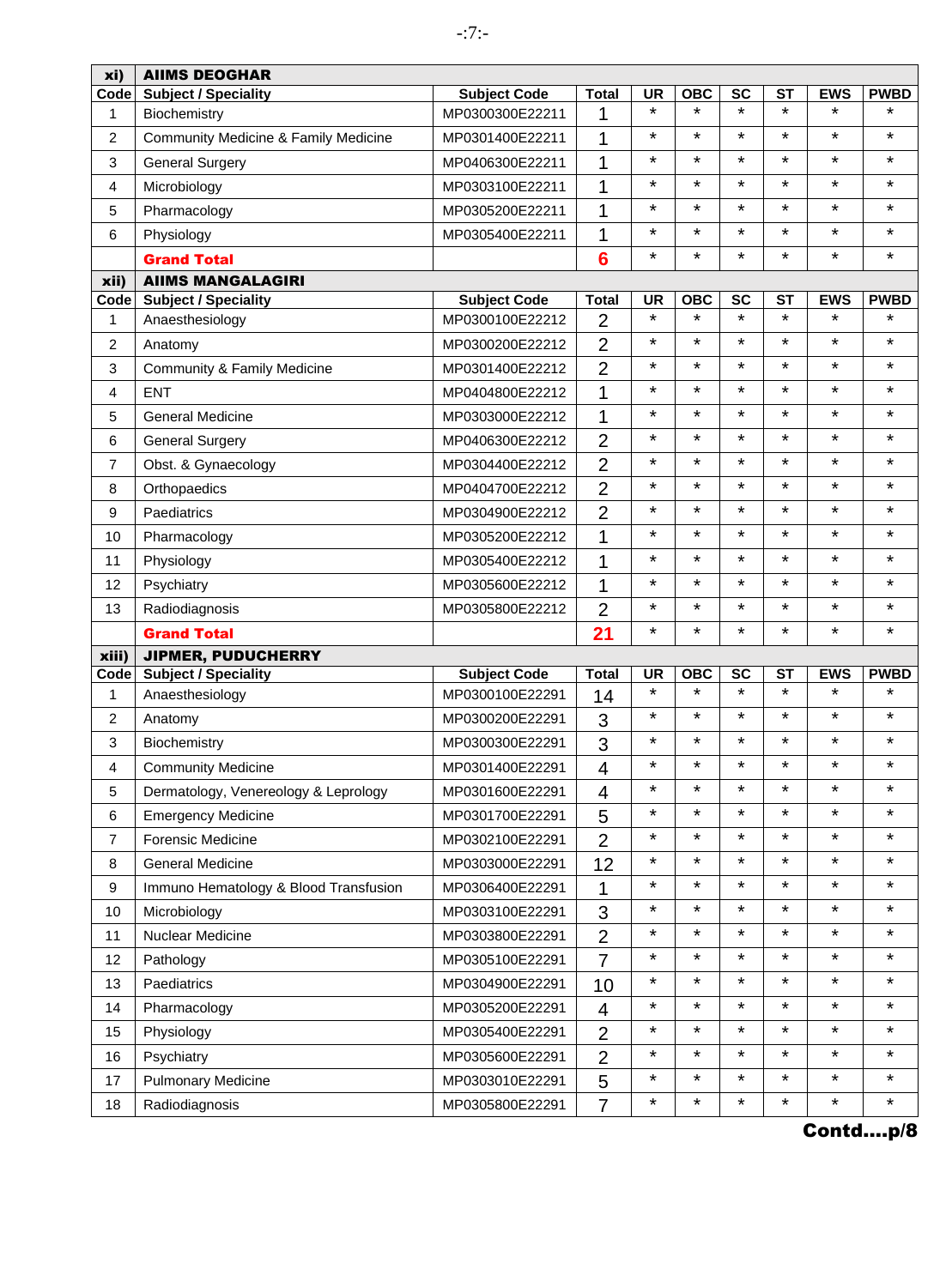| xi)              | <b>AIIMS DEOGHAR</b>                  |                     |                         |           |            |                          |                        |            |             |
|------------------|---------------------------------------|---------------------|-------------------------|-----------|------------|--------------------------|------------------------|------------|-------------|
| Code             | <b>Subject / Speciality</b>           | <b>Subject Code</b> | <b>Total</b>            | <b>UR</b> | <b>OBC</b> | <b>SC</b>                | <b>ST</b>              | <b>EWS</b> | <b>PWBD</b> |
| 1                | Biochemistry                          | MP0300300E22211     | 1                       | $\star$   | $\star$    | $\star$                  | $\star$                | $\star$    | *           |
| $\overline{c}$   | Community Medicine & Family Medicine  | MP0301400E22211     | 1                       | ¥         | $\star$    | $\star$                  | $\star$                | $\star$    | $\star$     |
| 3                | <b>General Surgery</b>                | MP0406300E22211     | 1                       | ¥         | $\star$    | $\star$                  | $\star$                | $\star$    | $\star$     |
| 4                | Microbiology                          | MP0303100E22211     | 1                       | $\star$   | $\star$    | $\star$                  | $\star$                | $\star$    | $\star$     |
| 5                | Pharmacology                          | MP0305200E22211     | 1                       | $\star$   | $\star$    | $\star$                  | $\star$                | $\star$    | $\star$     |
| 6                | Physiology                            | MP0305400E22211     | 1                       | *         | $\star$    | $\star$                  | $\star$                | $\star$    | ¥           |
|                  | <b>Grand Total</b>                    |                     | $6\phantom{1}6$         | ¥         | $\star$    | $\star$                  | $\star$                | $\star$    | $\star$     |
| xii)             | <b>AIIMS MANGALAGIRI</b>              |                     |                         |           |            |                          |                        |            |             |
| Code             | <b>Subject / Speciality</b>           | <b>Subject Code</b> | <b>Total</b>            | <b>UR</b> | <b>OBC</b> | <b>SC</b>                | <b>ST</b>              | <b>EWS</b> | <b>PWBD</b> |
| 1                | Anaesthesiology                       | MP0300100E22212     | $\overline{2}$          | $\star$   | $\star$    | $\star$                  | $\star$                | $\star$    | ¥           |
| $\overline{c}$   | Anatomy                               | MP0300200E22212     | $\overline{2}$          | $\star$   | $\star$    | $\star$                  | $\star$                | $\star$    | $\star$     |
| 3                | Community & Family Medicine           | MP0301400E22212     | $\overline{2}$          | ¥         | $\star$    | $\star$                  | $\star$                | $\star$    | $\star$     |
| 4                | <b>ENT</b>                            | MP0404800E22212     | $\mathbf{1}$            | $\star$   | $\star$    | $\star$                  | $\star$                | $\star$    | $\star$     |
| 5                | <b>General Medicine</b>               | MP0303000E22212     | 1                       | *         | $\star$    | $\star$                  | $\star$                | $\star$    | $\star$     |
| 6                | <b>General Surgery</b>                | MP0406300E22212     | $\overline{2}$          | $\star$   | $\star$    | $\star$                  | $\star$                | $\star$    | ¥           |
| 7                | Obst. & Gynaecology                   | MP0304400E22212     | $\overline{2}$          | $\star$   | $\star$    | $\star$                  | $\star$                | $\star$    | $\star$     |
| 8                | Orthopaedics                          | MP0404700E22212     | $\overline{2}$          | ¥         | $\star$    | $\star$                  | $\star$                | $\star$    | $\star$     |
| 9                | Paediatrics                           | MP0304900E22212     | $\overline{2}$          | $\star$   | $\star$    | $\star$                  | $\star$                | $\star$    | $\star$     |
| 10               | Pharmacology                          | MP0305200E22212     | 1                       | *         | $\star$    | $\star$                  | $\star$                | $\star$    | $\star$     |
| 11               | Physiology                            | MP0305400E22212     | 1                       | *         | $\star$    | $\star$                  | $\star$                | $\star$    | $\star$     |
| 12               | Psychiatry                            | MP0305600E22212     | 1                       | *         | $\star$    | $\star$                  | $\star$                | $\star$    | $\star$     |
| 13               | Radiodiagnosis                        | MP0305800E22212     | $\overline{2}$          | ¥         | $\star$    | $\star$                  | $\star$                | $\star$    | $\star$     |
|                  | <b>Grand Total</b>                    |                     | 21                      | ¥         | $\star$    | $\star$                  | $\star$                | $\star$    | $\star$     |
| xiii)            | <b>JIPMER, PUDUCHERRY</b>             |                     |                         |           |            |                          |                        |            |             |
| Code             | <b>Subject / Speciality</b>           | <b>Subject Code</b> | <b>Total</b>            | <b>UR</b> | <b>OBC</b> | $\overline{\mathsf{sc}}$ | $\overline{\text{ST}}$ | <b>EWS</b> | <b>PWBD</b> |
| $\mathbf{1}$     | Anaesthesiology                       | MP0300100E22291     | 14                      | $\star$   | $\star$    | $\star$                  | $\star$                | $\star$    | ¥           |
| $\overline{c}$   | Anatomy                               | MP0300200E22291     | 3                       | $\star$   | $\star$    | $\star$                  | $\star$                | $\star$    | $\star$     |
| 3                | Biochemistry                          | MP0300300E22291     | 3                       | ¥         | $\star$    | $\star$                  | $\star$                | $\star$    | $\star$     |
| 4                | <b>Community Medicine</b>             | MP0301400E22291     | $\overline{\mathbf{4}}$ | ¥         | *          | $\star$                  | $\star$                | $\star$    | $\star$     |
| 5                | Dermatology, Venereology & Leprology  | MP0301600E22291     | 4                       | ¥         | $\star$    | $\star$                  | $\star$                | $\star$    | $\star$     |
| 6                | <b>Emergency Medicine</b>             | MP0301700E22291     | 5                       | ¥         | $\star$    | $\star$                  | $\star$                | $\star$    | $\star$     |
| $\boldsymbol{7}$ | <b>Forensic Medicine</b>              | MP0302100E22291     | $\overline{2}$          | *         | $\star$    | $\star$                  | $\star$                | $\star$    | $\star$     |
| 8                | <b>General Medicine</b>               | MP0303000E22291     | 12                      | $\star$   | $\star$    | $\star$                  | $\star$                | $\star$    | ¥           |
| 9                | Immuno Hematology & Blood Transfusion | MP0306400E22291     | 1                       | *         | $\star$    | $\star$                  | $^\star$               | $\star$    | *           |
| 10               | Microbiology                          | MP0303100E22291     | 3                       | *         | $\star$    | $\star$                  | $^\star$               | $\star$    | ¥           |
| 11               | Nuclear Medicine                      | MP0303800E22291     | $\overline{2}$          | ¥         | $\star$    | $\star$                  | $\star$                | $\star$    | $\star$     |
| 12               | Pathology                             | MP0305100E22291     | $\overline{7}$          | *         | $\star$    | $\star$                  | $^\star$               | $\star$    | *           |
| 13               | Paediatrics                           | MP0304900E22291     | 10                      | *         | $\star$    | $\star$                  | $\star$                | $\star$    | ¥           |
| 14               | Pharmacology                          | MP0305200E22291     | $\overline{4}$          | *         | $\star$    | $\star$                  | $\star$                | $\star$    | ¥           |
| 15               | Physiology                            | MP0305400E22291     | $\overline{2}$          | *         | $\star$    | $\star$                  | $\star$                | $\star$    | ¥           |
| 16               | Psychiatry                            | MP0305600E22291     | $\overline{2}$          | ¥         | $\star$    | $\star$                  | $^\star$               | $\star$    | ¥           |
| 17               | <b>Pulmonary Medicine</b>             | MP0303010E22291     | 5                       | ¥         | $\star$    | $\star$                  | $\star$                | $\star$    | $\star$     |
| 18               | Radiodiagnosis                        | MP0305800E22291     | $\overline{7}$          | *         | $\star$    | $\star$                  | $\star$                | $\star$    | *           |
|                  |                                       |                     |                         |           |            |                          |                        |            |             |

-:7:-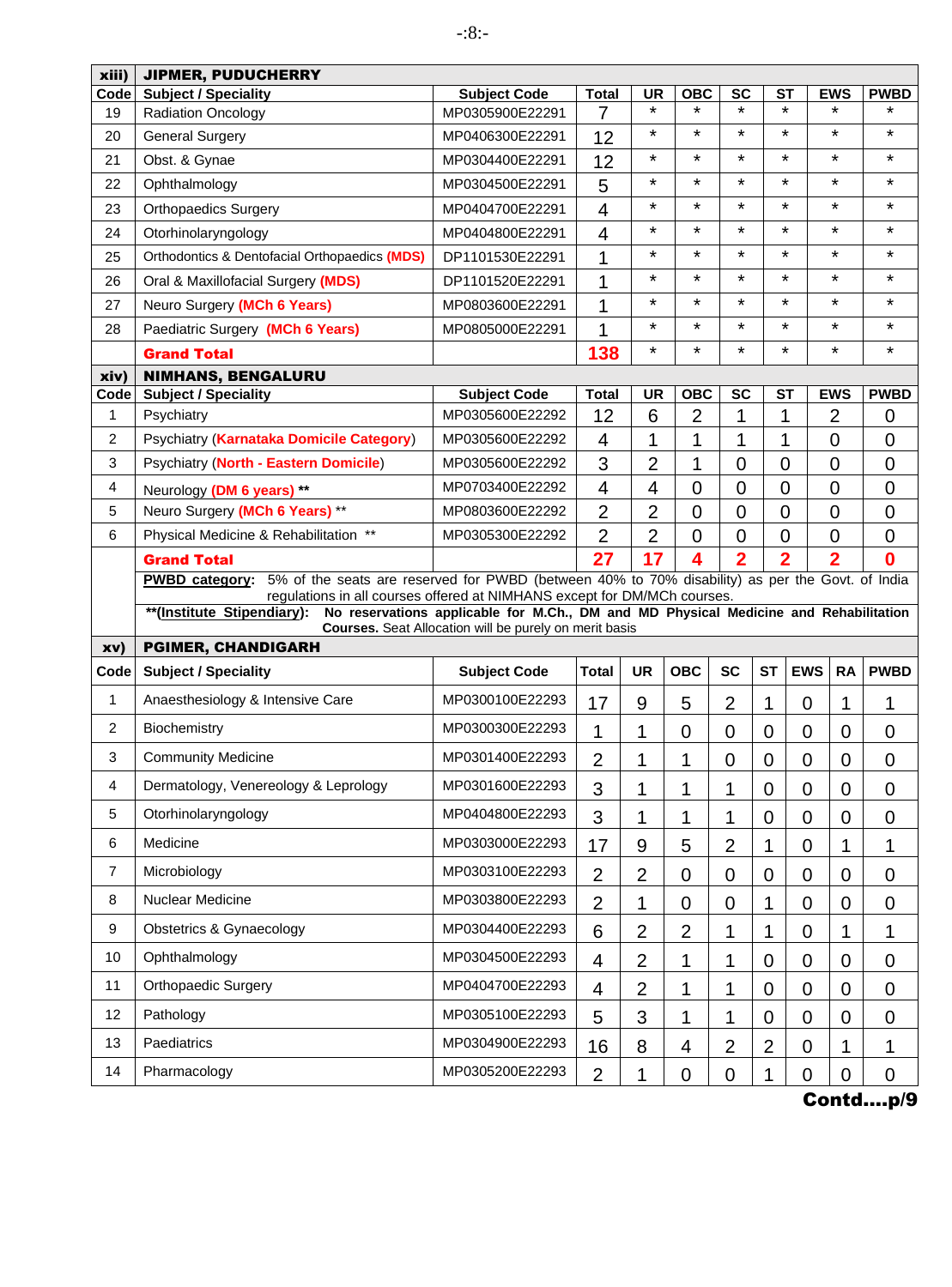| xiii)          | <b>JIPMER, PUDUCHERRY</b>                                                                                                                                                                            |                                                                                      |                         |                |                |                          |                |                          |                |                |
|----------------|------------------------------------------------------------------------------------------------------------------------------------------------------------------------------------------------------|--------------------------------------------------------------------------------------|-------------------------|----------------|----------------|--------------------------|----------------|--------------------------|----------------|----------------|
| Code           | <b>Subject / Speciality</b>                                                                                                                                                                          | <b>Subject Code</b>                                                                  | <b>Total</b>            | <b>UR</b>      | <b>OBC</b>     | <b>SC</b>                |                | <b>ST</b>                | <b>EWS</b>     | <b>PWBD</b>    |
| 19             | <b>Radiation Oncology</b>                                                                                                                                                                            | MP0305900E22291                                                                      | 7                       | $\star$        | $\star$        | $\star$                  |                | $\star$                  | $\star$        | ÷              |
| 20             | <b>General Surgery</b>                                                                                                                                                                               | MP0406300E22291                                                                      | 12                      | $\star$        | $\star$        | $\star$                  |                | $\star$                  | $\star$        | $\star$        |
| 21             | Obst. & Gynae                                                                                                                                                                                        | MP0304400E22291                                                                      | 12                      | $\star$        | $\star$        | $\star$                  |                | $\star$                  | $\star$        | $\star$        |
| 22             | Ophthalmology                                                                                                                                                                                        | MP0304500E22291                                                                      | 5                       | $\star$        | $\star$        | $\star$                  |                | $\star$                  | $\star$        | $\star$        |
| 23             | <b>Orthopaedics Surgery</b>                                                                                                                                                                          | MP0404700E22291                                                                      | $\overline{\mathbf{4}}$ | $\star$        | $\star$        | $\star$                  |                | $\star$                  | $\star$        | $\star$        |
| 24             | Otorhinolaryngology                                                                                                                                                                                  | MP0404800E22291                                                                      | $\overline{4}$          | $\star$        | $\star$        | $\star$                  |                | $\star$                  | $\star$        | $\star$        |
| 25             | Orthodontics & Dentofacial Orthopaedics (MDS)                                                                                                                                                        | DP1101530E22291                                                                      | 1                       | $\star$        | $\star$        | $\star$                  |                | $\star$                  | $\star$        | $\star$        |
| 26             | Oral & Maxillofacial Surgery (MDS)                                                                                                                                                                   | DP1101520E22291                                                                      | 1                       | $\star$        | ¥              | $\star$                  |                | $\star$                  | $\star$        | $\star$        |
| 27             | Neuro Surgery (MCh 6 Years)                                                                                                                                                                          | MP0803600E22291                                                                      | 1                       | $\star$        | $\star$        | $\star$                  |                | $\star$                  | *              | $\star$        |
| 28             | Paediatric Surgery (MCh 6 Years)                                                                                                                                                                     | MP0805000E22291                                                                      | 1                       | $\star$        | $\star$        | $\star$                  |                | $\star$                  | $\star$        | $\star$        |
|                | <b>Grand Total</b>                                                                                                                                                                                   |                                                                                      | 138                     | $\star$        | *              | $\star$                  |                | $\star$                  | *              | $\star$        |
| xiv)           | <b>NIMHANS, BENGALURU</b>                                                                                                                                                                            |                                                                                      |                         |                |                |                          |                |                          |                |                |
| Code           | <b>Subject / Speciality</b>                                                                                                                                                                          | <b>Subject Code</b>                                                                  | <b>Total</b>            | <b>UR</b>      | <b>OBC</b>     | $\overline{\mathsf{sc}}$ |                | $\overline{\mathsf{ST}}$ | <b>EWS</b>     | <b>PWBD</b>    |
| 1              | Psychiatry                                                                                                                                                                                           | MP0305600E22292                                                                      | 12                      | 6              | $\overline{2}$ | 1                        |                | 1                        | $\overline{2}$ | 0              |
| 2              | Psychiatry (Karnataka Domicile Category)                                                                                                                                                             | MP0305600E22292                                                                      | 4                       | 1              | 1              | 1                        |                | 1                        | $\mathbf 0$    | $\mathbf 0$    |
| 3              | Psychiatry (North - Eastern Domicile)                                                                                                                                                                | MP0305600E22292                                                                      | 3                       | $\overline{2}$ | 1              | $\overline{0}$           |                | $\overline{0}$           | $\overline{0}$ | $\mathbf 0$    |
| 4              | Neurology (DM 6 years) **                                                                                                                                                                            | MP0703400E22292                                                                      | $\overline{4}$          | 4              | $\overline{0}$ | $\overline{0}$           |                | $\overline{0}$           | $\overline{0}$ | $\mathbf 0$    |
| 5              | Neuro Surgery (MCh 6 Years) **                                                                                                                                                                       | MP0803600E22292                                                                      | $\overline{2}$          | $\overline{2}$ | $\overline{0}$ | $\overline{0}$           |                | $\overline{0}$           | $\overline{0}$ | $\overline{0}$ |
| 6              | Physical Medicine & Rehabilitation **                                                                                                                                                                | MP0305300E22292                                                                      | $\overline{2}$          | $\overline{2}$ | $\overline{0}$ | $\overline{0}$           |                | $\mathbf 0$              | $\overline{0}$ | $\mathbf 0$    |
|                | <b>Grand Total</b>                                                                                                                                                                                   |                                                                                      | 27                      | 17             | 4              | $\overline{2}$           |                | $\overline{2}$           | $\overline{2}$ | $\bf{0}$       |
|                | 5% of the seats are reserved for PWBD (between 40% to 70% disability) as per the Govt. of India<br><b>PWBD category:</b><br>regulations in all courses offered at NIMHANS except for DM/MCh courses. |                                                                                      |                         |                |                |                          |                |                          |                |                |
|                | **(Institute Stipendiary):                                                                                                                                                                           | No reservations applicable for M.Ch., DM and MD Physical Medicine and Rehabilitation |                         |                |                |                          |                |                          |                |                |
|                | <b>PGIMER, CHANDIGARH</b>                                                                                                                                                                            | Courses. Seat Allocation will be purely on merit basis                               |                         |                |                |                          |                |                          |                |                |
| xv)<br>Code    | <b>Subject / Speciality</b>                                                                                                                                                                          |                                                                                      | <b>Total</b>            | <b>UR</b>      | <b>OBC</b>     | <b>SC</b>                | <b>ST</b>      | <b>EWS</b>               | <b>RA</b>      | <b>PWBD</b>    |
|                |                                                                                                                                                                                                      | <b>Subject Code</b>                                                                  |                         |                |                |                          |                |                          |                |                |
| $\mathbf{1}$   | Anaesthesiology & Intensive Care                                                                                                                                                                     | MP0300100E22293                                                                      | 17                      | 9              | 5              | $\overline{2}$           | 1              | $\mathbf 0$              | 1              | 1              |
| 2              | Biochemistry                                                                                                                                                                                         | MP0300300E22293                                                                      | 1                       | 1              | 0              | 0                        | 0              | $\mathbf 0$              | $\overline{0}$ | $\mathbf 0$    |
| 3              | <b>Community Medicine</b>                                                                                                                                                                            | MP0301400E22293                                                                      | $\overline{2}$          | 1              | 1              | $\mathbf 0$              | 0              | $\mathbf 0$              | $\mathbf 0$    | $\mathbf 0$    |
| 4              | Dermatology, Venereology & Leprology                                                                                                                                                                 | MP0301600E22293                                                                      | 3                       | 1              | 1              | 1                        | 0              | $\mathbf 0$              | 0              | $\mathbf 0$    |
| 5              | Otorhinolaryngology                                                                                                                                                                                  | MP0404800E22293                                                                      | 3                       | 1              | 1              | 1                        | 0              | $\mathbf 0$              | $\mathbf 0$    | 0              |
| 6              | Medicine                                                                                                                                                                                             | MP0303000E22293                                                                      | 17                      | 9              | 5              | $\overline{2}$           | 1              | $\overline{0}$           | 1              | 1              |
| $\overline{7}$ | Microbiology                                                                                                                                                                                         | MP0303100E22293                                                                      | $\overline{2}$          | $\overline{2}$ | $\mathbf 0$    | 0                        | 0              | $\mathbf 0$              | $\mathbf 0$    | 0              |
| 8              | Nuclear Medicine                                                                                                                                                                                     | MP0303800E22293                                                                      | $\overline{2}$          | 1              | $\mathbf 0$    | 0                        | 1              | $\mathbf 0$              | $\mathbf 0$    | 0              |
| 9              | <b>Obstetrics &amp; Gynaecology</b>                                                                                                                                                                  | MP0304400E22293                                                                      | 6                       | $\overline{2}$ | $\overline{2}$ | 1                        | 1              | $\mathbf 0$              | 1              | 1              |
| 10             | Ophthalmology                                                                                                                                                                                        | MP0304500E22293                                                                      | 4                       | $\overline{2}$ | 1              | 1                        | 0              | $\overline{0}$           | $\mathbf 0$    | 0              |
| 11             | <b>Orthopaedic Surgery</b>                                                                                                                                                                           | MP0404700E22293                                                                      | 4                       | $\overline{2}$ | 1              | 1                        | $\mathbf 0$    | $\overline{0}$           | $\mathbf 0$    | $\mathbf 0$    |
| 12             | Pathology                                                                                                                                                                                            | MP0305100E22293                                                                      | 5                       | 3              | 1              | 1                        | $\mathbf 0$    | $\mathbf 0$              | $\mathbf 0$    | $\mathbf 0$    |
| 13             | Paediatrics                                                                                                                                                                                          | MP0304900E22293                                                                      | 16                      | 8              | 4              | $\overline{2}$           | $\overline{2}$ | $\mathbf 0$              | 1              | 1              |
| 14             | Pharmacology                                                                                                                                                                                         | MP0305200E22293                                                                      | $\overline{2}$          | 1              | 0              | 0                        | 1              | $\mathbf 0$              | 0              | 0              |
|                |                                                                                                                                                                                                      |                                                                                      |                         |                |                |                          |                |                          |                |                |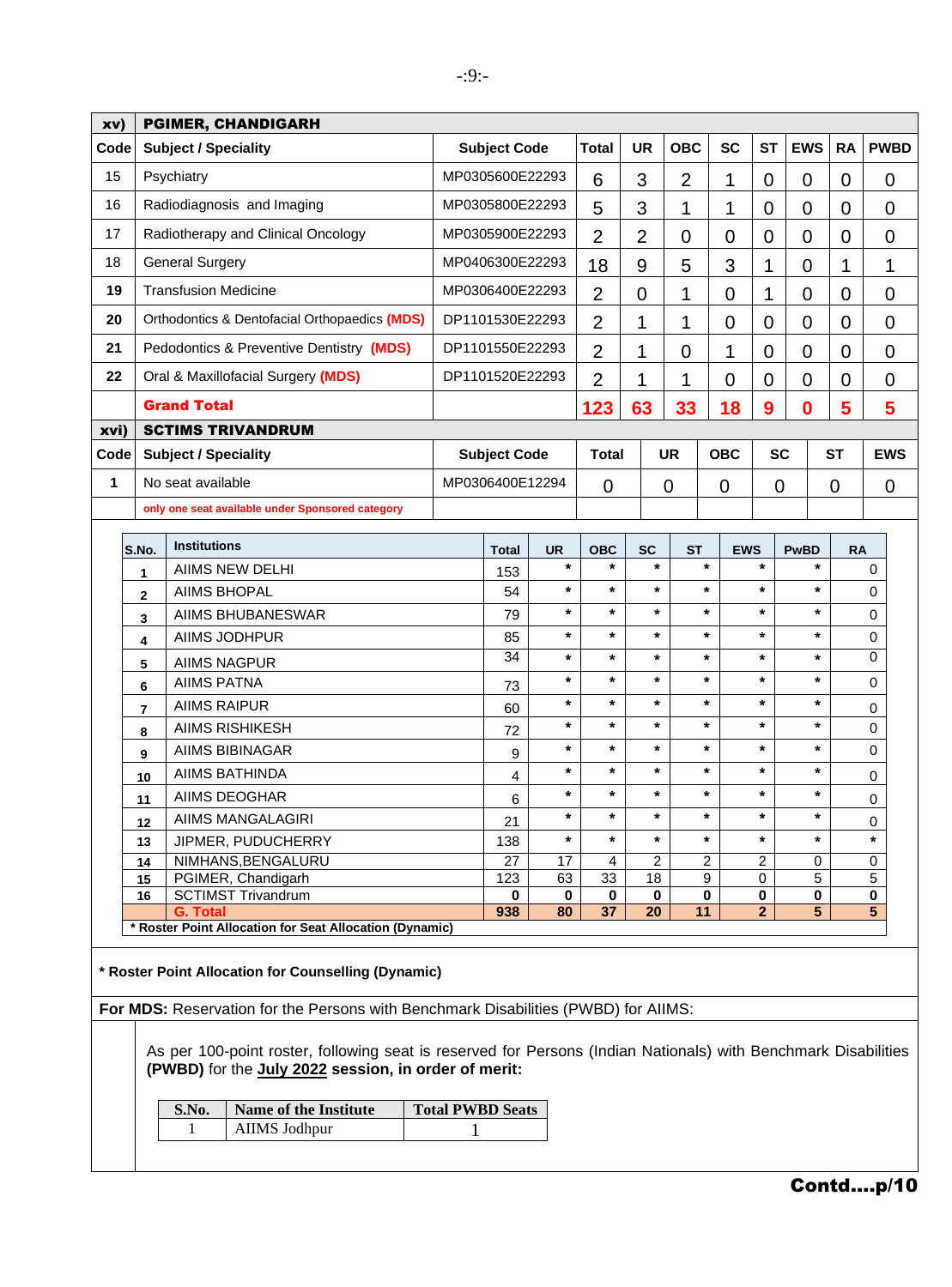| <b>UR</b><br><b>OBC</b><br><b>SC</b><br><b>ST</b><br><b>EWS</b><br><b>RA</b><br>Code<br><b>Subject / Speciality</b><br><b>Subject Code</b><br><b>Total</b><br>Psychiatry<br>MP0305600E22293<br>15<br>3<br>2<br>1<br>6<br>0<br>0<br>$\mathbf 0$<br>Radiodiagnosis and Imaging<br>16<br>MP0305800E22293<br>3<br>5<br>1<br>1<br>0<br>0<br>0<br>17<br>Radiotherapy and Clinical Oncology<br>MP0305900E22293<br>$\overline{2}$<br>$\overline{2}$<br>$\overline{0}$<br>$\overline{0}$<br>$\overline{0}$<br>$\overline{0}$<br>$\overline{0}$<br>18<br><b>General Surgery</b><br>MP0406300E22293<br>3<br>18<br>9<br>5<br>1<br>0<br>1<br>19<br><b>Transfusion Medicine</b><br>MP0306400E22293<br>$\overline{2}$<br>$\overline{0}$<br>1<br>$\overline{0}$<br>1<br>$\overline{0}$<br>0<br>20<br>Orthodontics & Dentofacial Orthopaedics (MDS)<br>DP1101530E22293<br>$\overline{2}$<br>1<br>$\overline{0}$<br>1<br>$\overline{0}$<br>$\overline{0}$<br>$\overline{0}$<br>21<br>Pedodontics & Preventive Dentistry (MDS)<br>DP1101550E22293<br>$\overline{2}$<br>1<br>1<br>$\mathbf 0$<br>$\overline{0}$<br>$\overline{0}$<br>$\overline{0}$<br>22<br>Oral & Maxillofacial Surgery (MDS)<br>DP1101520E22293<br>$\overline{2}$<br>$\overline{0}$<br>$\overline{0}$<br>1<br>1<br>0<br>$\overline{0}$<br><b>Grand Total</b><br>$\bf{0}$<br>5<br>63<br>33<br>18<br>9<br>123<br><b>SCTIMS TRIVANDRUM</b><br>xvi)<br><b>UR</b><br><b>OBC</b><br><b>SC</b><br><b>Subject / Speciality</b><br><b>Subject Code</b><br><b>ST</b><br>Code<br>Total<br>1<br>No seat available<br>MP0306400E12294<br>0<br>0<br>$\mathbf 0$<br>0<br>0<br>only one seat available under Sponsored category<br><b>Institutions</b><br>S.No.<br><b>UR</b><br><b>OBC</b><br><b>SC</b><br><b>ST</b><br><b>EWS</b><br><b>PwBD</b><br><b>Total</b><br><b>RA</b><br>$\star$<br>$\star$<br>$\ast$<br>$\star$<br>*<br>$\ast$<br><b>AIIMS NEW DELHI</b><br>0<br>153<br>$\mathbf{1}$<br>$\star$<br>$\star$<br>$\star$<br>$\star$<br>$\star$<br>*<br><b>AIIMS BHOPAL</b><br>54<br>0<br>$\mathbf 2$<br>$\star$<br>*<br>$\star$<br>$\star$<br>$\star$<br>$\star$<br>AIIMS BHUBANESWAR<br>79<br>0<br>3<br>$\star$<br>$\star$<br>$\star$<br>*<br>$\star$<br>$\ast$<br>AIIMS JODHPUR<br>85<br>0<br>4<br>34<br>0<br>$\star$<br>*<br>*<br>$\star$<br>$\star$<br>$\ast$<br><b>AIIMS NAGPUR</b><br>5<br>$\star$<br>$\star$<br>$\star$<br>$\star$<br>$\star$<br>$\star$<br><b>AIIMS PATNA</b><br>0<br>73<br>6<br>$\star$<br>*<br>$\star$<br>$\star$<br>$\star$<br>*<br><b>AIIMS RAIPUR</b><br>60<br>0<br>7<br>*<br>$\star$<br>$\star$<br>$\star$<br>$\star$<br>$\star$<br><b>AIIMS RISHIKESH</b><br>0<br>72<br>8<br>$\star$<br>*<br>$\star$<br>$\ast$<br>$\star$<br>$\ast$<br><b>AIIMS BIBINAGAR</b><br>0<br>9<br>9<br>$\star$<br>$\star$<br>$\star$<br>$\star$<br>$\ast$<br>$\star$<br><b>AIIMS BATHINDA</b><br>4<br>0<br>10<br>$\ast$<br>*<br>$\star$<br>$\star$<br>$\ast$<br>*<br><b>AIIMS DEOGHAR</b><br>6<br>0<br>11<br>AIIMS MANGALAGIRI<br>21<br>12<br>0<br>$\star$<br>$\ast$<br>*<br>$\ast$<br>*<br>$\star$<br>*<br>JIPMER, PUDUCHERRY<br>138<br>13<br>NIMHANS, BENGALURU<br>27<br>$\overline{2}$<br>$\overline{c}$<br>$\overline{2}$<br>17<br>4<br>0<br>0<br>14<br>PGIMER, Chandigarh<br>123<br>5<br>5<br>63<br>33<br>18<br>9<br>0<br>15<br><b>SCTIMST Trivandrum</b><br>0<br>0<br>0<br>0<br>0<br>0<br>0<br>16<br>0 | 5<br>5<br>938<br>37<br>20<br>11<br>$\mathbf{2}$<br><b>G. Total</b><br>80<br>* Roster Point Allocation for Seat Allocation (Dynamic)<br>* Roster Point Allocation for Counselling (Dynamic) | $\mathbf 0$<br>1<br>$\overline{0}$<br>$\overline{0}$<br>0<br>$\overline{0}$<br>5<br><b>EWS</b><br>For MDS: Reservation for the Persons with Benchmark Disabilities (PWBD) for AIIMS: | xv) |  | <b>PGIMER, CHANDIGARH</b> |              |  |  |  |  |  |  |  |  |  |             |
|------------------------------------------------------------------------------------------------------------------------------------------------------------------------------------------------------------------------------------------------------------------------------------------------------------------------------------------------------------------------------------------------------------------------------------------------------------------------------------------------------------------------------------------------------------------------------------------------------------------------------------------------------------------------------------------------------------------------------------------------------------------------------------------------------------------------------------------------------------------------------------------------------------------------------------------------------------------------------------------------------------------------------------------------------------------------------------------------------------------------------------------------------------------------------------------------------------------------------------------------------------------------------------------------------------------------------------------------------------------------------------------------------------------------------------------------------------------------------------------------------------------------------------------------------------------------------------------------------------------------------------------------------------------------------------------------------------------------------------------------------------------------------------------------------------------------------------------------------------------------------------------------------------------------------------------------------------------------------------------------------------------------------------------------------------------------------------------------------------------------------------------------------------------------------------------------------------------------------------------------------------------------------------------------------------------------------------------------------------------------------------------------------------------------------------------------------------------------------------------------------------------------------------------------------------------------------------------------------------------------------------------------------------------------------------------------------------------------------------------------------------------------------------------------------------------------------------------------------------------------------------------------------------------------------------------------------------------------------------------------------------------------------------------------------------------------------------------------------------------------------------------------------------------------------------------------------------------------------------------------------------------------------------------------------------------------------------------------------------|--------------------------------------------------------------------------------------------------------------------------------------------------------------------------------------------|--------------------------------------------------------------------------------------------------------------------------------------------------------------------------------------|-----|--|---------------------------|--------------|--|--|--|--|--|--|--|--|--|-------------|
|                                                                                                                                                                                                                                                                                                                                                                                                                                                                                                                                                                                                                                                                                                                                                                                                                                                                                                                                                                                                                                                                                                                                                                                                                                                                                                                                                                                                                                                                                                                                                                                                                                                                                                                                                                                                                                                                                                                                                                                                                                                                                                                                                                                                                                                                                                                                                                                                                                                                                                                                                                                                                                                                                                                                                                                                                                                                                                                                                                                                                                                                                                                                                                                                                                                                                                                                                            |                                                                                                                                                                                            |                                                                                                                                                                                      |     |  |                           |              |  |  |  |  |  |  |  |  |  | <b>PWBD</b> |
|                                                                                                                                                                                                                                                                                                                                                                                                                                                                                                                                                                                                                                                                                                                                                                                                                                                                                                                                                                                                                                                                                                                                                                                                                                                                                                                                                                                                                                                                                                                                                                                                                                                                                                                                                                                                                                                                                                                                                                                                                                                                                                                                                                                                                                                                                                                                                                                                                                                                                                                                                                                                                                                                                                                                                                                                                                                                                                                                                                                                                                                                                                                                                                                                                                                                                                                                                            |                                                                                                                                                                                            |                                                                                                                                                                                      |     |  |                           |              |  |  |  |  |  |  |  |  |  | 0           |
|                                                                                                                                                                                                                                                                                                                                                                                                                                                                                                                                                                                                                                                                                                                                                                                                                                                                                                                                                                                                                                                                                                                                                                                                                                                                                                                                                                                                                                                                                                                                                                                                                                                                                                                                                                                                                                                                                                                                                                                                                                                                                                                                                                                                                                                                                                                                                                                                                                                                                                                                                                                                                                                                                                                                                                                                                                                                                                                                                                                                                                                                                                                                                                                                                                                                                                                                                            |                                                                                                                                                                                            |                                                                                                                                                                                      |     |  |                           |              |  |  |  |  |  |  |  |  |  | 0           |
|                                                                                                                                                                                                                                                                                                                                                                                                                                                                                                                                                                                                                                                                                                                                                                                                                                                                                                                                                                                                                                                                                                                                                                                                                                                                                                                                                                                                                                                                                                                                                                                                                                                                                                                                                                                                                                                                                                                                                                                                                                                                                                                                                                                                                                                                                                                                                                                                                                                                                                                                                                                                                                                                                                                                                                                                                                                                                                                                                                                                                                                                                                                                                                                                                                                                                                                                                            |                                                                                                                                                                                            |                                                                                                                                                                                      |     |  |                           |              |  |  |  |  |  |  |  |  |  |             |
|                                                                                                                                                                                                                                                                                                                                                                                                                                                                                                                                                                                                                                                                                                                                                                                                                                                                                                                                                                                                                                                                                                                                                                                                                                                                                                                                                                                                                                                                                                                                                                                                                                                                                                                                                                                                                                                                                                                                                                                                                                                                                                                                                                                                                                                                                                                                                                                                                                                                                                                                                                                                                                                                                                                                                                                                                                                                                                                                                                                                                                                                                                                                                                                                                                                                                                                                                            |                                                                                                                                                                                            |                                                                                                                                                                                      |     |  |                           |              |  |  |  |  |  |  |  |  |  |             |
|                                                                                                                                                                                                                                                                                                                                                                                                                                                                                                                                                                                                                                                                                                                                                                                                                                                                                                                                                                                                                                                                                                                                                                                                                                                                                                                                                                                                                                                                                                                                                                                                                                                                                                                                                                                                                                                                                                                                                                                                                                                                                                                                                                                                                                                                                                                                                                                                                                                                                                                                                                                                                                                                                                                                                                                                                                                                                                                                                                                                                                                                                                                                                                                                                                                                                                                                                            |                                                                                                                                                                                            |                                                                                                                                                                                      |     |  |                           |              |  |  |  |  |  |  |  |  |  |             |
|                                                                                                                                                                                                                                                                                                                                                                                                                                                                                                                                                                                                                                                                                                                                                                                                                                                                                                                                                                                                                                                                                                                                                                                                                                                                                                                                                                                                                                                                                                                                                                                                                                                                                                                                                                                                                                                                                                                                                                                                                                                                                                                                                                                                                                                                                                                                                                                                                                                                                                                                                                                                                                                                                                                                                                                                                                                                                                                                                                                                                                                                                                                                                                                                                                                                                                                                                            |                                                                                                                                                                                            |                                                                                                                                                                                      |     |  |                           |              |  |  |  |  |  |  |  |  |  |             |
|                                                                                                                                                                                                                                                                                                                                                                                                                                                                                                                                                                                                                                                                                                                                                                                                                                                                                                                                                                                                                                                                                                                                                                                                                                                                                                                                                                                                                                                                                                                                                                                                                                                                                                                                                                                                                                                                                                                                                                                                                                                                                                                                                                                                                                                                                                                                                                                                                                                                                                                                                                                                                                                                                                                                                                                                                                                                                                                                                                                                                                                                                                                                                                                                                                                                                                                                                            |                                                                                                                                                                                            |                                                                                                                                                                                      |     |  |                           |              |  |  |  |  |  |  |  |  |  |             |
|                                                                                                                                                                                                                                                                                                                                                                                                                                                                                                                                                                                                                                                                                                                                                                                                                                                                                                                                                                                                                                                                                                                                                                                                                                                                                                                                                                                                                                                                                                                                                                                                                                                                                                                                                                                                                                                                                                                                                                                                                                                                                                                                                                                                                                                                                                                                                                                                                                                                                                                                                                                                                                                                                                                                                                                                                                                                                                                                                                                                                                                                                                                                                                                                                                                                                                                                                            |                                                                                                                                                                                            |                                                                                                                                                                                      |     |  |                           |              |  |  |  |  |  |  |  |  |  |             |
|                                                                                                                                                                                                                                                                                                                                                                                                                                                                                                                                                                                                                                                                                                                                                                                                                                                                                                                                                                                                                                                                                                                                                                                                                                                                                                                                                                                                                                                                                                                                                                                                                                                                                                                                                                                                                                                                                                                                                                                                                                                                                                                                                                                                                                                                                                                                                                                                                                                                                                                                                                                                                                                                                                                                                                                                                                                                                                                                                                                                                                                                                                                                                                                                                                                                                                                                                            |                                                                                                                                                                                            |                                                                                                                                                                                      |     |  |                           |              |  |  |  |  |  |  |  |  |  |             |
|                                                                                                                                                                                                                                                                                                                                                                                                                                                                                                                                                                                                                                                                                                                                                                                                                                                                                                                                                                                                                                                                                                                                                                                                                                                                                                                                                                                                                                                                                                                                                                                                                                                                                                                                                                                                                                                                                                                                                                                                                                                                                                                                                                                                                                                                                                                                                                                                                                                                                                                                                                                                                                                                                                                                                                                                                                                                                                                                                                                                                                                                                                                                                                                                                                                                                                                                                            |                                                                                                                                                                                            |                                                                                                                                                                                      |     |  |                           |              |  |  |  |  |  |  |  |  |  |             |
|                                                                                                                                                                                                                                                                                                                                                                                                                                                                                                                                                                                                                                                                                                                                                                                                                                                                                                                                                                                                                                                                                                                                                                                                                                                                                                                                                                                                                                                                                                                                                                                                                                                                                                                                                                                                                                                                                                                                                                                                                                                                                                                                                                                                                                                                                                                                                                                                                                                                                                                                                                                                                                                                                                                                                                                                                                                                                                                                                                                                                                                                                                                                                                                                                                                                                                                                                            |                                                                                                                                                                                            |                                                                                                                                                                                      |     |  |                           |              |  |  |  |  |  |  |  |  |  |             |
|                                                                                                                                                                                                                                                                                                                                                                                                                                                                                                                                                                                                                                                                                                                                                                                                                                                                                                                                                                                                                                                                                                                                                                                                                                                                                                                                                                                                                                                                                                                                                                                                                                                                                                                                                                                                                                                                                                                                                                                                                                                                                                                                                                                                                                                                                                                                                                                                                                                                                                                                                                                                                                                                                                                                                                                                                                                                                                                                                                                                                                                                                                                                                                                                                                                                                                                                                            |                                                                                                                                                                                            |                                                                                                                                                                                      |     |  |                           |              |  |  |  |  |  |  |  |  |  |             |
|                                                                                                                                                                                                                                                                                                                                                                                                                                                                                                                                                                                                                                                                                                                                                                                                                                                                                                                                                                                                                                                                                                                                                                                                                                                                                                                                                                                                                                                                                                                                                                                                                                                                                                                                                                                                                                                                                                                                                                                                                                                                                                                                                                                                                                                                                                                                                                                                                                                                                                                                                                                                                                                                                                                                                                                                                                                                                                                                                                                                                                                                                                                                                                                                                                                                                                                                                            |                                                                                                                                                                                            |                                                                                                                                                                                      |     |  |                           |              |  |  |  |  |  |  |  |  |  | 0           |
|                                                                                                                                                                                                                                                                                                                                                                                                                                                                                                                                                                                                                                                                                                                                                                                                                                                                                                                                                                                                                                                                                                                                                                                                                                                                                                                                                                                                                                                                                                                                                                                                                                                                                                                                                                                                                                                                                                                                                                                                                                                                                                                                                                                                                                                                                                                                                                                                                                                                                                                                                                                                                                                                                                                                                                                                                                                                                                                                                                                                                                                                                                                                                                                                                                                                                                                                                            |                                                                                                                                                                                            |                                                                                                                                                                                      |     |  |                           |              |  |  |  |  |  |  |  |  |  |             |
|                                                                                                                                                                                                                                                                                                                                                                                                                                                                                                                                                                                                                                                                                                                                                                                                                                                                                                                                                                                                                                                                                                                                                                                                                                                                                                                                                                                                                                                                                                                                                                                                                                                                                                                                                                                                                                                                                                                                                                                                                                                                                                                                                                                                                                                                                                                                                                                                                                                                                                                                                                                                                                                                                                                                                                                                                                                                                                                                                                                                                                                                                                                                                                                                                                                                                                                                                            |                                                                                                                                                                                            |                                                                                                                                                                                      |     |  |                           |              |  |  |  |  |  |  |  |  |  |             |
|                                                                                                                                                                                                                                                                                                                                                                                                                                                                                                                                                                                                                                                                                                                                                                                                                                                                                                                                                                                                                                                                                                                                                                                                                                                                                                                                                                                                                                                                                                                                                                                                                                                                                                                                                                                                                                                                                                                                                                                                                                                                                                                                                                                                                                                                                                                                                                                                                                                                                                                                                                                                                                                                                                                                                                                                                                                                                                                                                                                                                                                                                                                                                                                                                                                                                                                                                            |                                                                                                                                                                                            |                                                                                                                                                                                      |     |  |                           |              |  |  |  |  |  |  |  |  |  |             |
|                                                                                                                                                                                                                                                                                                                                                                                                                                                                                                                                                                                                                                                                                                                                                                                                                                                                                                                                                                                                                                                                                                                                                                                                                                                                                                                                                                                                                                                                                                                                                                                                                                                                                                                                                                                                                                                                                                                                                                                                                                                                                                                                                                                                                                                                                                                                                                                                                                                                                                                                                                                                                                                                                                                                                                                                                                                                                                                                                                                                                                                                                                                                                                                                                                                                                                                                                            |                                                                                                                                                                                            |                                                                                                                                                                                      |     |  |                           |              |  |  |  |  |  |  |  |  |  |             |
|                                                                                                                                                                                                                                                                                                                                                                                                                                                                                                                                                                                                                                                                                                                                                                                                                                                                                                                                                                                                                                                                                                                                                                                                                                                                                                                                                                                                                                                                                                                                                                                                                                                                                                                                                                                                                                                                                                                                                                                                                                                                                                                                                                                                                                                                                                                                                                                                                                                                                                                                                                                                                                                                                                                                                                                                                                                                                                                                                                                                                                                                                                                                                                                                                                                                                                                                                            |                                                                                                                                                                                            |                                                                                                                                                                                      |     |  |                           |              |  |  |  |  |  |  |  |  |  |             |
|                                                                                                                                                                                                                                                                                                                                                                                                                                                                                                                                                                                                                                                                                                                                                                                                                                                                                                                                                                                                                                                                                                                                                                                                                                                                                                                                                                                                                                                                                                                                                                                                                                                                                                                                                                                                                                                                                                                                                                                                                                                                                                                                                                                                                                                                                                                                                                                                                                                                                                                                                                                                                                                                                                                                                                                                                                                                                                                                                                                                                                                                                                                                                                                                                                                                                                                                                            |                                                                                                                                                                                            |                                                                                                                                                                                      |     |  |                           |              |  |  |  |  |  |  |  |  |  |             |
|                                                                                                                                                                                                                                                                                                                                                                                                                                                                                                                                                                                                                                                                                                                                                                                                                                                                                                                                                                                                                                                                                                                                                                                                                                                                                                                                                                                                                                                                                                                                                                                                                                                                                                                                                                                                                                                                                                                                                                                                                                                                                                                                                                                                                                                                                                                                                                                                                                                                                                                                                                                                                                                                                                                                                                                                                                                                                                                                                                                                                                                                                                                                                                                                                                                                                                                                                            |                                                                                                                                                                                            |                                                                                                                                                                                      |     |  |                           |              |  |  |  |  |  |  |  |  |  |             |
|                                                                                                                                                                                                                                                                                                                                                                                                                                                                                                                                                                                                                                                                                                                                                                                                                                                                                                                                                                                                                                                                                                                                                                                                                                                                                                                                                                                                                                                                                                                                                                                                                                                                                                                                                                                                                                                                                                                                                                                                                                                                                                                                                                                                                                                                                                                                                                                                                                                                                                                                                                                                                                                                                                                                                                                                                                                                                                                                                                                                                                                                                                                                                                                                                                                                                                                                                            |                                                                                                                                                                                            |                                                                                                                                                                                      |     |  |                           |              |  |  |  |  |  |  |  |  |  |             |
|                                                                                                                                                                                                                                                                                                                                                                                                                                                                                                                                                                                                                                                                                                                                                                                                                                                                                                                                                                                                                                                                                                                                                                                                                                                                                                                                                                                                                                                                                                                                                                                                                                                                                                                                                                                                                                                                                                                                                                                                                                                                                                                                                                                                                                                                                                                                                                                                                                                                                                                                                                                                                                                                                                                                                                                                                                                                                                                                                                                                                                                                                                                                                                                                                                                                                                                                                            |                                                                                                                                                                                            |                                                                                                                                                                                      |     |  |                           |              |  |  |  |  |  |  |  |  |  |             |
|                                                                                                                                                                                                                                                                                                                                                                                                                                                                                                                                                                                                                                                                                                                                                                                                                                                                                                                                                                                                                                                                                                                                                                                                                                                                                                                                                                                                                                                                                                                                                                                                                                                                                                                                                                                                                                                                                                                                                                                                                                                                                                                                                                                                                                                                                                                                                                                                                                                                                                                                                                                                                                                                                                                                                                                                                                                                                                                                                                                                                                                                                                                                                                                                                                                                                                                                                            |                                                                                                                                                                                            |                                                                                                                                                                                      |     |  |                           |              |  |  |  |  |  |  |  |  |  |             |
|                                                                                                                                                                                                                                                                                                                                                                                                                                                                                                                                                                                                                                                                                                                                                                                                                                                                                                                                                                                                                                                                                                                                                                                                                                                                                                                                                                                                                                                                                                                                                                                                                                                                                                                                                                                                                                                                                                                                                                                                                                                                                                                                                                                                                                                                                                                                                                                                                                                                                                                                                                                                                                                                                                                                                                                                                                                                                                                                                                                                                                                                                                                                                                                                                                                                                                                                                            |                                                                                                                                                                                            |                                                                                                                                                                                      |     |  |                           |              |  |  |  |  |  |  |  |  |  |             |
|                                                                                                                                                                                                                                                                                                                                                                                                                                                                                                                                                                                                                                                                                                                                                                                                                                                                                                                                                                                                                                                                                                                                                                                                                                                                                                                                                                                                                                                                                                                                                                                                                                                                                                                                                                                                                                                                                                                                                                                                                                                                                                                                                                                                                                                                                                                                                                                                                                                                                                                                                                                                                                                                                                                                                                                                                                                                                                                                                                                                                                                                                                                                                                                                                                                                                                                                                            |                                                                                                                                                                                            |                                                                                                                                                                                      |     |  |                           |              |  |  |  |  |  |  |  |  |  |             |
|                                                                                                                                                                                                                                                                                                                                                                                                                                                                                                                                                                                                                                                                                                                                                                                                                                                                                                                                                                                                                                                                                                                                                                                                                                                                                                                                                                                                                                                                                                                                                                                                                                                                                                                                                                                                                                                                                                                                                                                                                                                                                                                                                                                                                                                                                                                                                                                                                                                                                                                                                                                                                                                                                                                                                                                                                                                                                                                                                                                                                                                                                                                                                                                                                                                                                                                                                            |                                                                                                                                                                                            |                                                                                                                                                                                      |     |  |                           |              |  |  |  |  |  |  |  |  |  |             |
|                                                                                                                                                                                                                                                                                                                                                                                                                                                                                                                                                                                                                                                                                                                                                                                                                                                                                                                                                                                                                                                                                                                                                                                                                                                                                                                                                                                                                                                                                                                                                                                                                                                                                                                                                                                                                                                                                                                                                                                                                                                                                                                                                                                                                                                                                                                                                                                                                                                                                                                                                                                                                                                                                                                                                                                                                                                                                                                                                                                                                                                                                                                                                                                                                                                                                                                                                            |                                                                                                                                                                                            |                                                                                                                                                                                      |     |  |                           |              |  |  |  |  |  |  |  |  |  |             |
|                                                                                                                                                                                                                                                                                                                                                                                                                                                                                                                                                                                                                                                                                                                                                                                                                                                                                                                                                                                                                                                                                                                                                                                                                                                                                                                                                                                                                                                                                                                                                                                                                                                                                                                                                                                                                                                                                                                                                                                                                                                                                                                                                                                                                                                                                                                                                                                                                                                                                                                                                                                                                                                                                                                                                                                                                                                                                                                                                                                                                                                                                                                                                                                                                                                                                                                                                            |                                                                                                                                                                                            |                                                                                                                                                                                      |     |  |                           |              |  |  |  |  |  |  |  |  |  |             |
|                                                                                                                                                                                                                                                                                                                                                                                                                                                                                                                                                                                                                                                                                                                                                                                                                                                                                                                                                                                                                                                                                                                                                                                                                                                                                                                                                                                                                                                                                                                                                                                                                                                                                                                                                                                                                                                                                                                                                                                                                                                                                                                                                                                                                                                                                                                                                                                                                                                                                                                                                                                                                                                                                                                                                                                                                                                                                                                                                                                                                                                                                                                                                                                                                                                                                                                                                            |                                                                                                                                                                                            |                                                                                                                                                                                      |     |  |                           |              |  |  |  |  |  |  |  |  |  |             |
|                                                                                                                                                                                                                                                                                                                                                                                                                                                                                                                                                                                                                                                                                                                                                                                                                                                                                                                                                                                                                                                                                                                                                                                                                                                                                                                                                                                                                                                                                                                                                                                                                                                                                                                                                                                                                                                                                                                                                                                                                                                                                                                                                                                                                                                                                                                                                                                                                                                                                                                                                                                                                                                                                                                                                                                                                                                                                                                                                                                                                                                                                                                                                                                                                                                                                                                                                            |                                                                                                                                                                                            |                                                                                                                                                                                      |     |  |                           |              |  |  |  |  |  |  |  |  |  |             |
|                                                                                                                                                                                                                                                                                                                                                                                                                                                                                                                                                                                                                                                                                                                                                                                                                                                                                                                                                                                                                                                                                                                                                                                                                                                                                                                                                                                                                                                                                                                                                                                                                                                                                                                                                                                                                                                                                                                                                                                                                                                                                                                                                                                                                                                                                                                                                                                                                                                                                                                                                                                                                                                                                                                                                                                                                                                                                                                                                                                                                                                                                                                                                                                                                                                                                                                                                            |                                                                                                                                                                                            |                                                                                                                                                                                      |     |  |                           |              |  |  |  |  |  |  |  |  |  |             |
|                                                                                                                                                                                                                                                                                                                                                                                                                                                                                                                                                                                                                                                                                                                                                                                                                                                                                                                                                                                                                                                                                                                                                                                                                                                                                                                                                                                                                                                                                                                                                                                                                                                                                                                                                                                                                                                                                                                                                                                                                                                                                                                                                                                                                                                                                                                                                                                                                                                                                                                                                                                                                                                                                                                                                                                                                                                                                                                                                                                                                                                                                                                                                                                                                                                                                                                                                            |                                                                                                                                                                                            |                                                                                                                                                                                      |     |  |                           |              |  |  |  |  |  |  |  |  |  |             |
| As per 100-point roster, following seat is reserved for Persons (Indian Nationals) with Benchmark Disabilities<br>(PWBD) for the July 2022 session, in order of merit:<br><b>Total PWBD Seats</b><br>S.No.<br>Name of the Institute                                                                                                                                                                                                                                                                                                                                                                                                                                                                                                                                                                                                                                                                                                                                                                                                                                                                                                                                                                                                                                                                                                                                                                                                                                                                                                                                                                                                                                                                                                                                                                                                                                                                                                                                                                                                                                                                                                                                                                                                                                                                                                                                                                                                                                                                                                                                                                                                                                                                                                                                                                                                                                                                                                                                                                                                                                                                                                                                                                                                                                                                                                                        |                                                                                                                                                                                            |                                                                                                                                                                                      |     |  | AIIMS Jodhpur<br>1        | $\mathbf{1}$ |  |  |  |  |  |  |  |  |  |             |

Ē